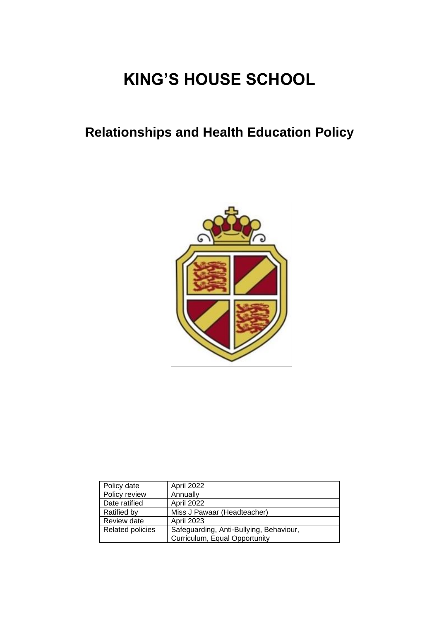# **KING'S HOUSE SCHOOL**

## **Relationships and Health Education Policy**



| Policy date             | <b>April 2022</b>                                                        |
|-------------------------|--------------------------------------------------------------------------|
| Policy review           | Annually                                                                 |
| Date ratified           | April 2022                                                               |
| <b>Ratified by</b>      | Miss J Pawaar (Headteacher)                                              |
| Review date             | <b>April 2023</b>                                                        |
| <b>Related policies</b> | Safeguarding, Anti-Bullying, Behaviour,<br>Curriculum, Equal Opportunity |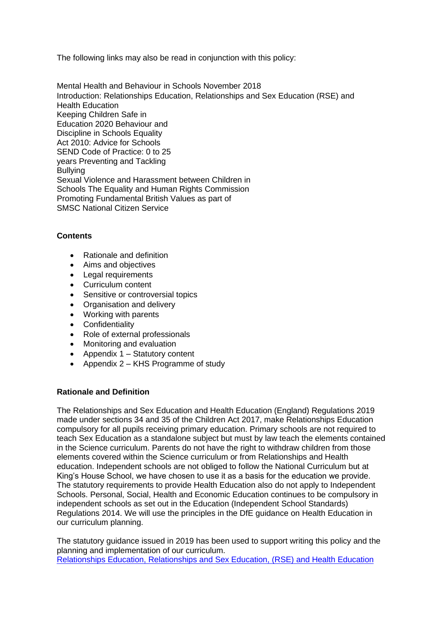The following links may also be read in conjunction with this policy:

[Mental Health and Behaviour in Schools November 2018](https://assets.publishing.service.gov.uk/government/uploads/system/uploads/attachment_data/file/755135/Mental_health_and_behaviour_in_schools__.pdf) [Introduction: Relationships Education, Relationships and Sex Education \(RSE\) and](https://www.gov.uk/government/publications/changes-to-personal-social-health-and-economic-pshe-and-relationships-and-sex-education-rse/introduction-relationships-education-relationships-and-sex-education-rse-and-health-education)  [Health](https://www.gov.uk/government/publications/changes-to-personal-social-health-and-economic-pshe-and-relationships-and-sex-education-rse/introduction-relationships-education-relationships-and-sex-education-rse-and-health-education) [Education](https://www.gov.uk/government/publications/changes-to-personal-social-health-and-economic-pshe-and-relationships-and-sex-education-rse/introduction-relationships-education-relationships-and-sex-education-rse-and-health-education) [Keeping Children Safe in](https://assets.publishing.service.gov.uk/government/uploads/system/uploads/attachment_data/file/912592/Keeping_children_safe_in_education_Sep_2020.pdf)  [Education 2020](https://assets.publishing.service.gov.uk/government/uploads/system/uploads/attachment_data/file/912592/Keeping_children_safe_in_education_Sep_2020.pdf) [Behaviour and](https://assets.publishing.service.gov.uk/government/uploads/system/uploads/attachment_data/file/488034/Behaviour_and_Discipline_in_Schools_-_A_guide_for_headteachers_and_School_Staff.pdf)  [Discipline in Schools](https://assets.publishing.service.gov.uk/government/uploads/system/uploads/attachment_data/file/488034/Behaviour_and_Discipline_in_Schools_-_A_guide_for_headteachers_and_School_Staff.pdf) [Equality](https://assets.publishing.service.gov.uk/government/uploads/system/uploads/attachment_data/file/315587/Equality_Act_Advice_Final.pdf)  [Act 2010: Advice for Schools](https://assets.publishing.service.gov.uk/government/uploads/system/uploads/attachment_data/file/315587/Equality_Act_Advice_Final.pdf) [SEND Code of Practice: 0 to 25](https://assets.publishing.service.gov.uk/government/uploads/system/uploads/attachment_data/file/398815/SEND_Code_of_Practice_January_2015.pdf)  [years](https://assets.publishing.service.gov.uk/government/uploads/system/uploads/attachment_data/file/398815/SEND_Code_of_Practice_January_2015.pdf) [Preventing and Tackling](https://assets.publishing.service.gov.uk/government/uploads/system/uploads/attachment_data/file/623895/Preventing_and_tackling_bullying_advice.pdf)  **[Bullying](https://assets.publishing.service.gov.uk/government/uploads/system/uploads/attachment_data/file/623895/Preventing_and_tackling_bullying_advice.pdf)** [Sexual Violence and Harassment between Children in](https://assets.publishing.service.gov.uk/government/uploads/system/uploads/attachment_data/file/719902/Sexual_violence_and_sexual_harassment_between_children_in_schools_and_colleges.pdf)  [Schools](https://assets.publishing.service.gov.uk/government/uploads/system/uploads/attachment_data/file/719902/Sexual_violence_and_sexual_harassment_between_children_in_schools_and_colleges.pdf) [The Equality and Human Rights Commission](https://www.equalityhumanrights.com/en) [Promoting Fundamental British Values as part of](https://assets.publishing.service.gov.uk/government/uploads/system/uploads/attachment_data/file/380595/SMSC_Guidance_Maintained_Schools.pdf)  [SMSC](https://assets.publishing.service.gov.uk/government/uploads/system/uploads/attachment_data/file/380595/SMSC_Guidance_Maintained_Schools.pdf) [National Citizen Service](https://www.gov.uk/government/get-involved/take-part/national-citizen-service)

#### **Contents**

- Rationale and definition
- Aims and objectives
- Legal requirements
- Curriculum content
- Sensitive or controversial topics
- Organisation and delivery
- Working with parents
- Confidentiality
- Role of external professionals
- Monitoring and evaluation
- Appendix 1 Statutory content
- Appendix 2 KHS Programme of study

#### **Rationale and Definition**

The Relationships and Sex Education and Health Education (England) Regulations 2019 made under sections 34 and 35 of the Children Act 2017, make Relationships Education compulsory for all pupils receiving primary education. Primary schools are not required to teach Sex Education as a standalone subject but must by law teach the elements contained in the Science curriculum. Parents do not have the right to withdraw children from those elements covered within the Science curriculum or from Relationships and Health education. Independent schools are not obliged to follow the National Curriculum but at King's House School, we have chosen to use it as a basis for the education we provide. The statutory requirements to provide Health Education also do not apply to Independent Schools. Personal, Social, Health and Economic Education continues to be compulsory in independent schools as set out in the Education (Independent School Standards) Regulations 2014. We will use the principles in the DfE guidance on Health Education in our curriculum planning.

The statutory guidance issued in 2019 has been used to support writing this policy and the planning and implementation of our curriculum. Relationships [Education, Relationships](https://assets.publishing.service.gov.uk/government/uploads/system/uploads/attachment_data/file/908013/Relationships_Education__Relationships_and_Sex_Education__RSE__and_Health_Education.pdf) and Sex Education, (RSE) and Health Education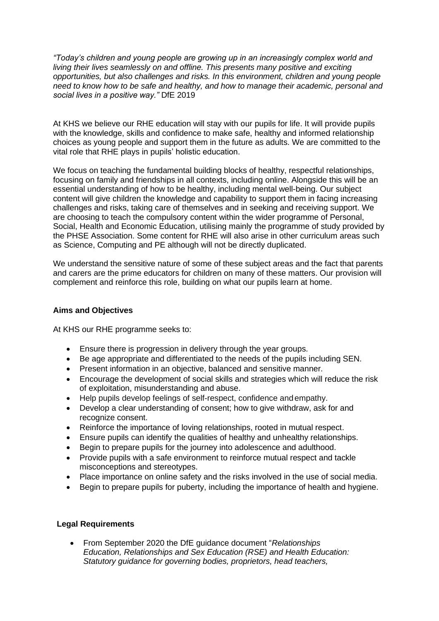*"Today's children and young people are growing up in an increasingly complex world and living their lives seamlessly on and offline. This presents many positive and exciting opportunities, but also challenges and risks. In this environment, children and young people need to know how to be safe and healthy, and how to manage their academic, personal and social lives in a positive way."* DfE 2019

At KHS we believe our RHE education will stay with our pupils for life. It will provide pupils with the knowledge, skills and confidence to make safe, healthy and informed relationship choices as young people and support them in the future as adults. We are committed to the vital role that RHE plays in pupils' holistic education.

We focus on teaching the fundamental building blocks of healthy, respectful relationships, focusing on family and friendships in all contexts, including online. Alongside this will be an essential understanding of how to be healthy, including mental well-being. Our subject content will give children the knowledge and capability to support them in facing increasing challenges and risks, taking care of themselves and in seeking and receiving support. We are choosing to teach the compulsory content within the wider programme of Personal, Social, Health and Economic Education, utilising mainly the programme of study provided by the PHSE Association. Some content for RHE will also arise in other curriculum areas such as Science, Computing and PE although will not be directly duplicated.

We understand the sensitive nature of some of these subject areas and the fact that parents and carers are the prime educators for children on many of these matters. Our provision will complement and reinforce this role, building on what our pupils learn at home.

#### **Aims and Objectives**

At KHS our RHE programme seeks to:

- Ensure there is progression in delivery through the year groups.
- Be age appropriate and differentiated to the needs of the pupils including SEN.
- Present information in an objective, balanced and sensitive manner.
- Encourage the development of social skills and strategies which will reduce the risk of exploitation, misunderstanding and abuse.
- Help pupils develop feelings of self-respect, confidence and empathy.
- Develop a clear understanding of consent; how to give withdraw, ask for and recognize consent.
- Reinforce the importance of loving relationships, rooted in mutual respect.
- Ensure pupils can identify the qualities of healthy and unhealthy relationships.
- Begin to prepare pupils for the journey into adolescence and adulthood.
- Provide pupils with a safe environment to reinforce mutual respect and tackle misconceptions and stereotypes.
- Place importance on online safety and the risks involved in the use of social media.
- Begin to prepare pupils for puberty, including the importance of health and hygiene.

#### **Legal Requirements**

• From September 2020 the DfE guidance document "*Relationships Education, Relationships and Sex Education (RSE) and Health Education: Statutory guidance for governing bodies, proprietors, head teachers,*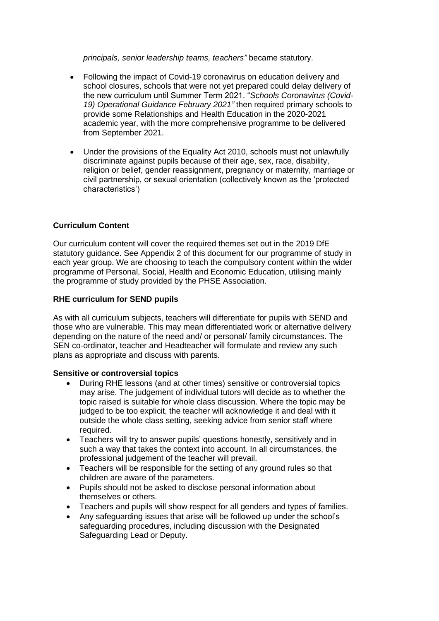*principals, senior leadership teams, teachers"* became statutory.

- Following the impact of Covid-19 coronavirus on education delivery and school closures, schools that were not yet prepared could delay delivery of the new curriculum until Summer Term 2021. "*Schools Coronavirus (Covid-19) Operational Guidance February 2021"* then required primary schools to provide some Relationships and Health Education in the 2020-2021 academic year, with the more comprehensive programme to be delivered from September 2021.
- Under the provisions of the Equality Act 2010, schools must not unlawfully discriminate against pupils because of their age, sex, race, disability, religion or belief, gender reassignment, pregnancy or maternity, marriage or civil partnership, or sexual orientation (collectively known as the 'protected characteristics')

#### **Curriculum Content**

Our curriculum content will cover the required themes set out in the 2019 DfE statutory guidance. See Appendix 2 of this document for our programme of study in each year group. We are choosing to teach the compulsory content within the wider programme of Personal, Social, Health and Economic Education, utilising mainly the programme of study provided by the PHSE Association.

#### **RHE curriculum for SEND pupils**

As with all curriculum subjects, teachers will differentiate for pupils with SEND and those who are vulnerable. This may mean differentiated work or alternative delivery depending on the nature of the need and/ or personal/ family circumstances. The SEN co-ordinator, teacher and Headteacher will formulate and review any such plans as appropriate and discuss with parents.

#### **Sensitive or controversial topics**

- During RHE lessons (and at other times) sensitive or controversial topics may arise. The judgement of individual tutors will decide as to whether the topic raised is suitable for whole class discussion. Where the topic may be judged to be too explicit, the teacher will acknowledge it and deal with it outside the whole class setting, seeking advice from senior staff where required.
- Teachers will try to answer pupils' questions honestly, sensitively and in such a way that takes the context into account. In all circumstances, the professional judgement of the teacher will prevail.
- Teachers will be responsible for the setting of any ground rules so that children are aware of the parameters.
- Pupils should not be asked to disclose personal information about themselves or others.
- Teachers and pupils will show respect for all genders and types of families.
- Any safeguarding issues that arise will be followed up under the school's safeguarding procedures, including discussion with the Designated Safeguarding Lead or Deputy.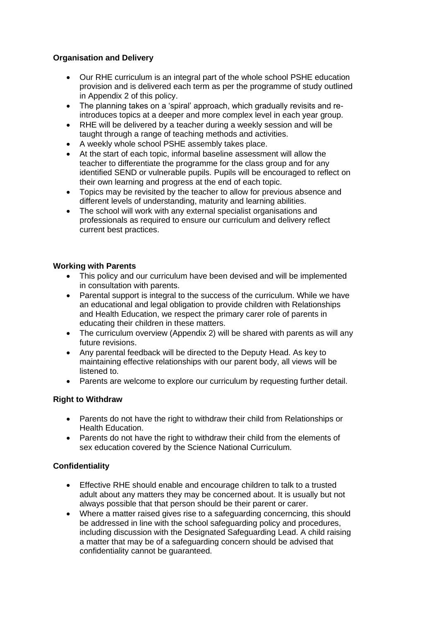#### **Organisation and Delivery**

- Our RHE curriculum is an integral part of the whole school PSHE education provision and is delivered each term as per the programme of study outlined in Appendix 2 of this policy.
- The planning takes on a 'spiral' approach, which gradually revisits and reintroduces topics at a deeper and more complex level in each year group.
- RHE will be delivered by a teacher during a weekly session and will be taught through a range of teaching methods and activities.
- A weekly whole school PSHE assembly takes place.
- At the start of each topic, informal baseline assessment will allow the teacher to differentiate the programme for the class group and for any identified SEND or vulnerable pupils. Pupils will be encouraged to reflect on their own learning and progress at the end of each topic.
- Topics may be revisited by the teacher to allow for previous absence and different levels of understanding, maturity and learning abilities.
- The school will work with any external specialist organisations and professionals as required to ensure our curriculum and delivery reflect current best practices.

#### **Working with Parents**

- This policy and our curriculum have been devised and will be implemented in consultation with parents.
- Parental support is integral to the success of the curriculum. While we have an educational and legal obligation to provide children with Relationships and Health Education, we respect the primary carer role of parents in educating their children in these matters.
- The curriculum overview (Appendix 2) will be shared with parents as will any future revisions.
- Any parental feedback will be directed to the Deputy Head. As key to maintaining effective relationships with our parent body, all views will be listened to.
- Parents are welcome to explore our curriculum by requesting further detail.

#### **Right to Withdraw**

- Parents do not have the right to withdraw their child from Relationships or Health Education.
- Parents do not have the right to withdraw their child from the elements of sex education covered by the Science National Curriculum.

#### **Confidentiality**

- Effective RHE should enable and encourage children to talk to a trusted adult about any matters they may be concerned about. It is usually but not always possible that that person should be their parent or carer.
- Where a matter raised gives rise to a safeguarding concerncing, this should be addressed in line with the school safeguarding policy and procedures, including discussion with the Designated Safeguarding Lead. A child raising a matter that may be of a safeguarding concern should be advised that confidentiality cannot be guaranteed.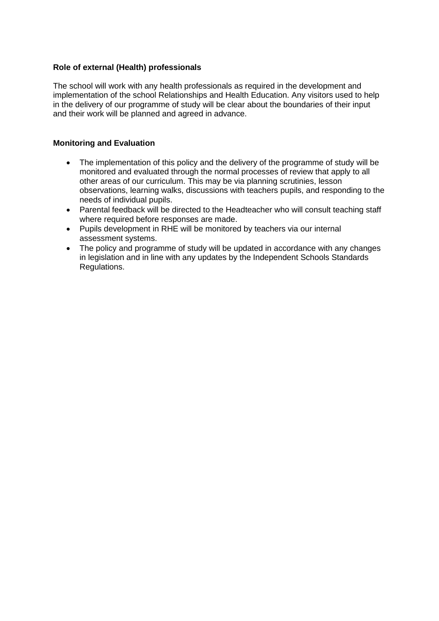#### **Role of external (Health) professionals**

The school will work with any health professionals as required in the development and implementation of the school Relationships and Health Education. Any visitors used to help in the delivery of our programme of study will be clear about the boundaries of their input and their work will be planned and agreed in advance.

#### **Monitoring and Evaluation**

- The implementation of this policy and the delivery of the programme of study will be monitored and evaluated through the normal processes of review that apply to all other areas of our curriculum. This may be via planning scrutinies, lesson observations, learning walks, discussions with teachers pupils, and responding to the needs of individual pupils.
- Parental feedback will be directed to the Headteacher who will consult teaching staff where required before responses are made.
- Pupils development in RHE will be monitored by teachers via our internal assessment systems.
- The policy and programme of study will be updated in accordance with any changes in legislation and in line with any updates by the Independent Schools Standards Regulations.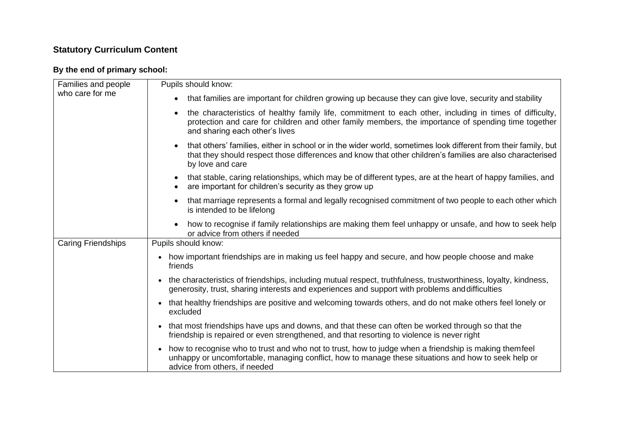### **Statutory Curriculum Content**

#### **By the end of primary school:**

| Families and people       | Pupils should know:                                                                                                                                                                                                                                        |
|---------------------------|------------------------------------------------------------------------------------------------------------------------------------------------------------------------------------------------------------------------------------------------------------|
| who care for me           | that families are important for children growing up because they can give love, security and stability<br>$\bullet$                                                                                                                                        |
|                           | the characteristics of healthy family life, commitment to each other, including in times of difficulty,<br>protection and care for children and other family members, the importance of spending time together<br>and sharing each other's lives           |
|                           | that others' families, either in school or in the wider world, sometimes look different from their family, but<br>that they should respect those differences and know that other children's families are also characterised<br>by love and care            |
|                           | that stable, caring relationships, which may be of different types, are at the heart of happy families, and<br>are important for children's security as they grow up                                                                                       |
|                           | that marriage represents a formal and legally recognised commitment of two people to each other which<br>is intended to be lifelong                                                                                                                        |
|                           | how to recognise if family relationships are making them feel unhappy or unsafe, and how to seek help<br>or advice from others if needed                                                                                                                   |
| <b>Caring Friendships</b> | Pupils should know:                                                                                                                                                                                                                                        |
|                           | • how important friendships are in making us feel happy and secure, and how people choose and make<br>friends                                                                                                                                              |
|                           | the characteristics of friendships, including mutual respect, truthfulness, trustworthiness, loyalty, kindness,<br>$\bullet$<br>generosity, trust, sharing interests and experiences and support with problems and difficulties                            |
|                           | that healthy friendships are positive and welcoming towards others, and do not make others feel lonely or<br>$\bullet$<br>excluded                                                                                                                         |
|                           | that most friendships have ups and downs, and that these can often be worked through so that the<br>$\bullet$<br>friendship is repaired or even strengthened, and that resorting to violence is never right                                                |
|                           | how to recognise who to trust and who not to trust, how to judge when a friendship is making themfeel<br>$\bullet$<br>unhappy or uncomfortable, managing conflict, how to manage these situations and how to seek help or<br>advice from others, if needed |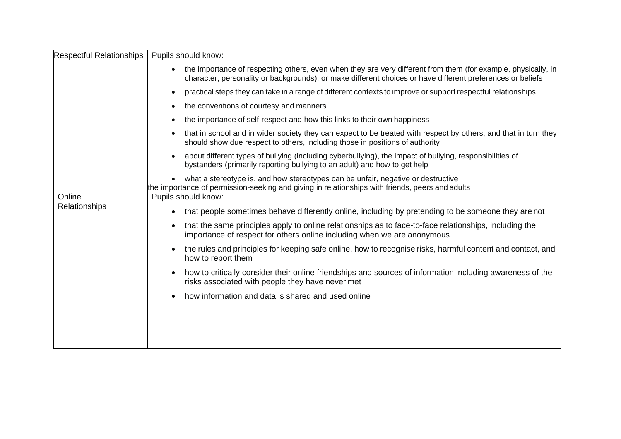| <b>Respectful Relationships</b> | Pupils should know:                                                                                                                                                                                                                      |
|---------------------------------|------------------------------------------------------------------------------------------------------------------------------------------------------------------------------------------------------------------------------------------|
|                                 | the importance of respecting others, even when they are very different from them (for example, physically, in<br>$\bullet$<br>character, personality or backgrounds), or make different choices or have different preferences or beliefs |
|                                 | practical steps they can take in a range of different contexts to improve or support respectful relationships<br>$\bullet$                                                                                                               |
|                                 | the conventions of courtesy and manners<br>$\bullet$                                                                                                                                                                                     |
|                                 | the importance of self-respect and how this links to their own happiness<br>$\bullet$                                                                                                                                                    |
|                                 | that in school and in wider society they can expect to be treated with respect by others, and that in turn they<br>$\bullet$<br>should show due respect to others, including those in positions of authority                             |
|                                 | about different types of bullying (including cyberbullying), the impact of bullying, responsibilities of<br>$\bullet$<br>bystanders (primarily reporting bullying to an adult) and how to get help                                       |
|                                 | what a stereotype is, and how stereotypes can be unfair, negative or destructive<br>$\bullet$<br>the importance of permission-seeking and giving in relationships with friends, peers and adults                                         |
| Online                          | Pupils should know:                                                                                                                                                                                                                      |
| Relationships                   | that people sometimes behave differently online, including by pretending to be someone they are not<br>$\bullet$                                                                                                                         |
|                                 | that the same principles apply to online relationships as to face-to-face relationships, including the<br>$\bullet$<br>importance of respect for others online including when we are anonymous                                           |
|                                 | the rules and principles for keeping safe online, how to recognise risks, harmful content and contact, and<br>$\bullet$<br>how to report them                                                                                            |
|                                 | how to critically consider their online friendships and sources of information including awareness of the<br>$\bullet$<br>risks associated with people they have never met                                                               |
|                                 | how information and data is shared and used online<br>$\bullet$                                                                                                                                                                          |
|                                 |                                                                                                                                                                                                                                          |
|                                 |                                                                                                                                                                                                                                          |
|                                 |                                                                                                                                                                                                                                          |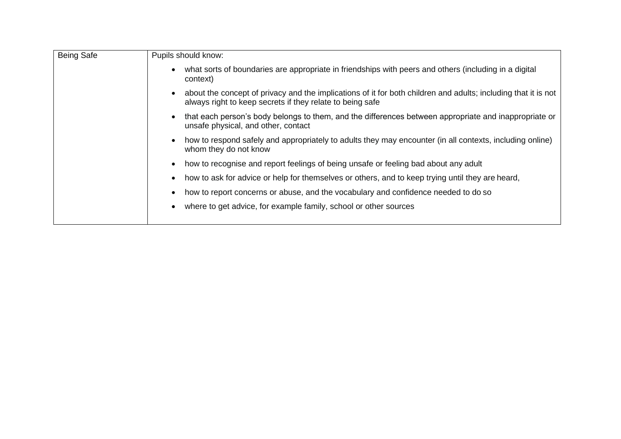| Pupils should know:                                                                                                                                                                      |
|------------------------------------------------------------------------------------------------------------------------------------------------------------------------------------------|
| what sorts of boundaries are appropriate in friendships with peers and others (including in a digital<br>$\bullet$<br>context)                                                           |
| about the concept of privacy and the implications of it for both children and adults; including that it is not<br>$\bullet$<br>always right to keep secrets if they relate to being safe |
| that each person's body belongs to them, and the differences between appropriate and inappropriate or<br>$\bullet$<br>unsafe physical, and other, contact                                |
| how to respond safely and appropriately to adults they may encounter (in all contexts, including online)<br>$\bullet$<br>whom they do not know                                           |
| how to recognise and report feelings of being unsafe or feeling bad about any adult<br>$\bullet$                                                                                         |
| how to ask for advice or help for themselves or others, and to keep trying until they are heard,<br>$\bullet$                                                                            |
| how to report concerns or abuse, and the vocabulary and confidence needed to do so<br>$\bullet$                                                                                          |
| where to get advice, for example family, school or other sources<br>$\bullet$                                                                                                            |
|                                                                                                                                                                                          |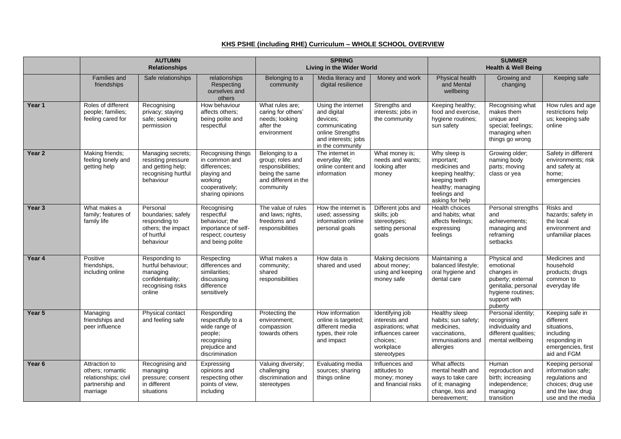#### **KHS PSHE (including RHE) Curriculum – WHOLE SCHOOL OVERVIEW**

|        | <b>AUTUMN</b><br><b>Relationships</b>                                                    |                                                                                                    | <b>SPRING</b><br>Living in the Wider World                                                                          |                                                                                                                | <b>SUMMER</b><br><b>Health &amp; Well Being</b>                                                                               |                                                                                                                    |                                                                                                                                          |                                                                                                                                     |                                                                                                                         |
|--------|------------------------------------------------------------------------------------------|----------------------------------------------------------------------------------------------------|---------------------------------------------------------------------------------------------------------------------|----------------------------------------------------------------------------------------------------------------|-------------------------------------------------------------------------------------------------------------------------------|--------------------------------------------------------------------------------------------------------------------|------------------------------------------------------------------------------------------------------------------------------------------|-------------------------------------------------------------------------------------------------------------------------------------|-------------------------------------------------------------------------------------------------------------------------|
|        | Families and<br>friendships                                                              | Safe relationships                                                                                 | relationships<br>Respecting<br>ourselves and<br>others                                                              | Belonging to a<br>community                                                                                    | Media literacy and<br>digital resilience                                                                                      | Money and work                                                                                                     | Physical health<br>and Mental<br>wellbeing                                                                                               | Growing and<br>changing                                                                                                             | Keeping safe                                                                                                            |
| Year 1 | Roles of different<br>people; families;<br>feeling cared for                             | Recognising<br>privacy; staying<br>safe; seeking<br>permission                                     | How behaviour<br>affects others:<br>being polite and<br>respectful                                                  | What rules are;<br>caring for others'<br>needs; looking<br>after the<br>environment                            | Using the internet<br>and digital<br>devices:<br>communicating<br>online Strengths<br>and interests; jobs<br>in the community | Strengths and<br>interests; jobs in<br>the community                                                               | Keeping healthy;<br>food and exercise.<br>hygiene routines;<br>sun safety                                                                | Recognising what<br>makes them<br>unique and<br>special; feelings;<br>managing when<br>things go wrong                              | How rules and age<br>restrictions help<br>us; keeping safe<br>online                                                    |
| Year 2 | Making friends;<br>feeling lonely and<br>getting help                                    | Managing secrets;<br>resisting pressure<br>and getting help;<br>recognising hurtful<br>behaviour   | Recognising things<br>in common and<br>differences:<br>playing and<br>working<br>cooperatively;<br>sharing opinions | Belonging to a<br>group; roles and<br>responsibilities;<br>being the same<br>and different in the<br>community | The internet in<br>everyday life;<br>online content and<br>information                                                        | What money is;<br>needs and wants;<br>looking after<br>money                                                       | Why sleep is<br>important;<br>medicines and<br>keeping healthy;<br>keeping teeth<br>healthy; managing<br>feelings and<br>asking for help | Growing older;<br>naming body<br>parts; moving<br>class or yea                                                                      | Safety in different<br>environments; risk<br>and safety at<br>home;<br>emergencies                                      |
| Year 3 | What makes a<br>family; features of<br>family life                                       | Personal<br>boundaries; safely<br>responding to<br>others; the impact<br>of hurtful<br>behaviour   | Recognising<br>respectful<br>behaviour; the<br>importance of self-<br>respect; courtesy<br>and being polite         | The value of rules<br>and laws; rights,<br>freedoms and<br>responsibilities                                    | How the internet is<br>used; assessing<br>information online<br>personal goals                                                | Different jobs and<br>skills; job<br>stereotypes;<br>setting personal<br>goals                                     | Health choices<br>and habits; what<br>affects feelings;<br>expressing<br>feelings                                                        | Personal strengths<br>and<br>achievements;<br>managing and<br>reframing<br>setbacks                                                 | Risks and<br>hazards; safety in<br>the local<br>environment and<br>unfamiliar places                                    |
| Year 4 | Positive<br>friendships,<br>including online                                             | Responding to<br>hurtful behaviour;<br>managing<br>confidentiality;<br>recognising risks<br>online | Respecting<br>differences and<br>similarities;<br>discussing<br>difference<br>sensitively                           | What makes a<br>community;<br>shared<br>responsibilities                                                       | How data is<br>shared and used                                                                                                | Making decisions<br>about money;<br>using and keeping<br>money safe                                                | Maintaining a<br>balanced lifestyle;<br>oral hygiene and<br>dental care                                                                  | Physical and<br>emotional<br>changes in<br>puberty; external<br>genitalia; personal<br>hygiene routines:<br>support with<br>puberty | Medicines and<br>household<br>products; drugs<br>common to<br>everyday life                                             |
| Year 5 | Managing<br>friendships and<br>peer influence                                            | Physical contact<br>and feeling safe                                                               | Responding<br>respectfully to a<br>wide range of<br>people;<br>recognising<br>prejudice and<br>discrimination       | Protecting the<br>environment;<br>compassion<br>towards others                                                 | How information<br>online is targeted;<br>different media<br>types, their role<br>and impact                                  | Identifying job<br>interests and<br>aspirations; what<br>influences career<br>choices:<br>workplace<br>stereotypes | Healthy sleep<br>habits; sun safety;<br>medicines,<br>vaccinations,<br>immunisations and<br>allergies                                    | Personal identity;<br>recognising<br>individuality and<br>different qualities;<br>mental wellbeing                                  | Keeping safe in<br>different<br>situations,<br>including<br>responding in<br>emergencies, first<br>aid and FGM          |
| Year 6 | Attraction to<br>others; romantic<br>relationships; civil<br>partnership and<br>marriage | Recognising and<br>managing<br>pressure; consent<br>in different<br>situations                     | Expressing<br>opinions and<br>respecting other<br>points of view,<br>including                                      | Valuing diversity;<br>challenging<br>discrimination and<br>stereotypes                                         | Evaluating media<br>sources; sharing<br>things online                                                                         | Influences and<br>attitudes to<br>money; money<br>and financial risks                                              | What affects<br>mental health and<br>ways to take care<br>of it; managing<br>change, loss and<br>bereavement:                            | Human<br>reproduction and<br>birth; increasing<br>independence;<br>managing<br>transition                                           | Keeping personal<br>information safe;<br>regulations and<br>choices; drug use<br>and the law; drug<br>use and the media |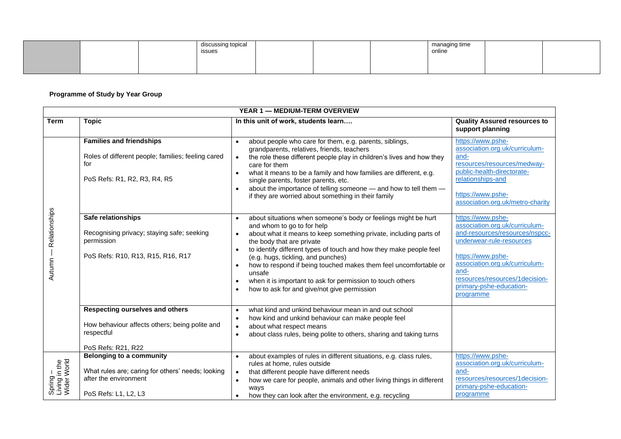|  | discussing topical<br>issues |  | managing time<br>online |  |
|--|------------------------------|--|-------------------------|--|
|  |                              |  |                         |  |

#### **Programme of Study by Year Group**

|                                          | YEAR 1 - MEDIUM-TERM OVERVIEW                                                                                                         |                                                                                                                                                                                                                                                                                                                                                                                                                                                                                                                                                                                     |                                                                                                                                                                                                                                                            |  |  |  |
|------------------------------------------|---------------------------------------------------------------------------------------------------------------------------------------|-------------------------------------------------------------------------------------------------------------------------------------------------------------------------------------------------------------------------------------------------------------------------------------------------------------------------------------------------------------------------------------------------------------------------------------------------------------------------------------------------------------------------------------------------------------------------------------|------------------------------------------------------------------------------------------------------------------------------------------------------------------------------------------------------------------------------------------------------------|--|--|--|
| <b>Term</b>                              | <b>Topic</b>                                                                                                                          | In this unit of work, students learn                                                                                                                                                                                                                                                                                                                                                                                                                                                                                                                                                | <b>Quality Assured resources to</b><br>support planning                                                                                                                                                                                                    |  |  |  |
| Relationships<br>Autumn                  | <b>Families and friendships</b><br>Roles of different people; families; feeling cared<br>for<br>PoS Refs: R1, R2, R3, R4, R5          | about people who care for them, e.g. parents, siblings,<br>$\bullet$<br>grandparents, relatives, friends, teachers<br>the role these different people play in children's lives and how they<br>$\bullet$<br>care for them<br>what it means to be a family and how families are different, e.g.<br>$\bullet$<br>single parents, foster parents, etc.<br>about the importance of telling someone - and how to tell them -<br>$\bullet$<br>if they are worried about something in their family                                                                                         | https://www.pshe-<br>association.org.uk/curriculum-<br>and-<br>resources/resources/medway-<br>public-health-directorate-<br>relationships-and<br>https://www.pshe-<br>association.org.uk/metro-charity                                                     |  |  |  |
|                                          | Safe relationships<br>Recognising privacy; staying safe; seeking<br>permission<br>PoS Refs: R10, R13, R15, R16, R17                   | about situations when someone's body or feelings might be hurt<br>$\bullet$<br>and whom to go to for help<br>about what it means to keep something private, including parts of<br>$\bullet$<br>the body that are private<br>to identify different types of touch and how they make people feel<br>$\bullet$<br>(e.g. hugs, tickling, and punches)<br>how to respond if being touched makes them feel uncomfortable or<br>$\bullet$<br>unsafe<br>when it is important to ask for permission to touch others<br>$\bullet$<br>how to ask for and give/not give permission<br>$\bullet$ | https://www.pshe-<br>association.org.uk/curriculum-<br>and-resources/resources/nspcc-<br>underwear-rule-resources<br>https://www.pshe-<br>association.org.uk/curriculum-<br>and-<br>resources/resources/1decision-<br>primary-pshe-education-<br>programme |  |  |  |
|                                          | <b>Respecting ourselves and others</b><br>How behaviour affects others; being polite and<br>respectful<br>PoS Refs: R21, R22          | what kind and unkind behaviour mean in and out school<br>$\bullet$<br>how kind and unkind behaviour can make people feel<br>$\bullet$<br>about what respect means<br>$\bullet$<br>about class rules, being polite to others, sharing and taking turns<br>$\bullet$                                                                                                                                                                                                                                                                                                                  |                                                                                                                                                                                                                                                            |  |  |  |
| Spring –<br>Living in the<br>Wider World | <b>Belonging to a community</b><br>What rules are; caring for others' needs; looking<br>after the environment<br>PoS Refs: L1, L2, L3 | about examples of rules in different situations, e.g. class rules,<br>$\bullet$<br>rules at home, rules outside<br>that different people have different needs<br>$\bullet$<br>how we care for people, animals and other living things in different<br>$\bullet$<br>ways<br>how they can look after the environment, e.g. recycling<br>$\bullet$                                                                                                                                                                                                                                     | https://www.pshe-<br>association.org.uk/curriculum-<br>and-<br>resources/resources/1decision-<br>primary-pshe-education-<br>programme                                                                                                                      |  |  |  |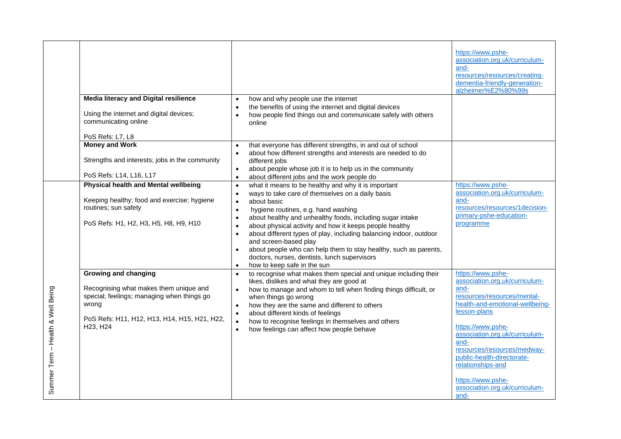|                                      | <b>Media literacy and Digital resilience</b><br>Using the internet and digital devices;<br>communicating online<br>PoS Refs: L7, L8                                                                               | how and why people use the internet<br>$\bullet$<br>the benefits of using the internet and digital devices<br>how people find things out and communicate safely with others<br>online                                                                                                                                                                                                                                                                                                                                                                                                                                 | https://www.pshe-<br>association.org.uk/curriculum-<br>and-<br>resources/resources/creating-<br>dementia-friendly-generation-<br>alzheimer%E2%80%99s                                                                                                                                                                                                          |
|--------------------------------------|-------------------------------------------------------------------------------------------------------------------------------------------------------------------------------------------------------------------|-----------------------------------------------------------------------------------------------------------------------------------------------------------------------------------------------------------------------------------------------------------------------------------------------------------------------------------------------------------------------------------------------------------------------------------------------------------------------------------------------------------------------------------------------------------------------------------------------------------------------|---------------------------------------------------------------------------------------------------------------------------------------------------------------------------------------------------------------------------------------------------------------------------------------------------------------------------------------------------------------|
|                                      | <b>Money and Work</b><br>Strengths and interests; jobs in the community<br>PoS Refs: L14, L16, L17                                                                                                                | that everyone has different strengths, in and out of school<br>$\bullet$<br>about how different strengths and interests are needed to do<br>$\bullet$<br>different jobs<br>about people whose job it is to help us in the community<br>$\bullet$<br>about different jobs and the work people do<br>$\bullet$                                                                                                                                                                                                                                                                                                          |                                                                                                                                                                                                                                                                                                                                                               |
|                                      | Physical health and Mental wellbeing<br>Keeping healthy; food and exercise; hygiene<br>routines; sun safety<br>PoS Refs: H1, H2, H3, H5, H8, H9, H10                                                              | what it means to be healthy and why it is important<br>$\bullet$<br>ways to take care of themselves on a daily basis<br>$\bullet$<br>about basic<br>$\bullet$<br>hygiene routines, e.g. hand washing<br>$\bullet$<br>about healthy and unhealthy foods, including sugar intake<br>about physical activity and how it keeps people healthy<br>about different types of play, including balancing indoor, outdoor<br>$\bullet$<br>and screen-based play<br>about people who can help them to stay healthy, such as parents,<br>doctors, nurses, dentists, lunch supervisors<br>how to keep safe in the sun<br>$\bullet$ | https://www.pshe-<br>association.org.uk/curriculum-<br>and-<br>resources/resources/1decision-<br>primary-pshe-education-<br>programme                                                                                                                                                                                                                         |
| - Health & Well Being<br>Summer Term | <b>Growing and changing</b><br>Recognising what makes them unique and<br>special; feelings; managing when things go<br>wrong<br>PoS Refs: H11, H12, H13, H14, H15, H21, H22,<br>H <sub>23</sub> , H <sub>24</sub> | to recognise what makes them special and unique including their<br>$\bullet$<br>likes, dislikes and what they are good at<br>how to manage and whom to tell when finding things difficult, or<br>$\bullet$<br>when things go wrong<br>how they are the same and different to others<br>$\bullet$<br>about different kinds of feelings<br>$\bullet$<br>how to recognise feelings in themselves and others<br>$\bullet$<br>how feelings can affect how people behave                                                                                                                                                    | https://www.pshe-<br>association.org.uk/curriculum-<br>and-<br>resources/resources/mental-<br>health-and-emotional-wellbeing-<br>lesson-plans<br>https://www.pshe-<br>association.org.uk/curriculum-<br>and-<br>resources/resources/medway-<br>public-health-directorate-<br>relationships-and<br>https://www.pshe-<br>association.org.uk/curriculum-<br>and- |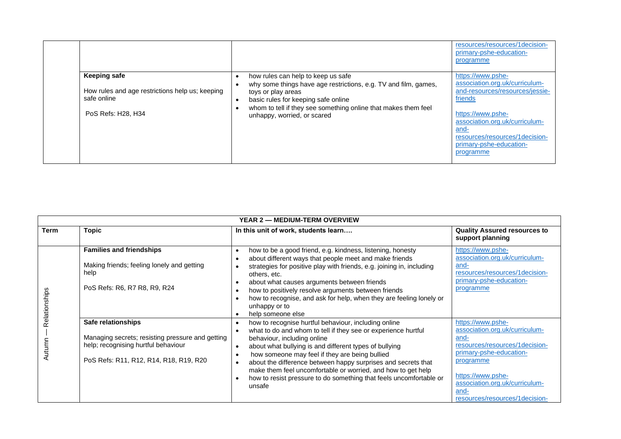|                                                                                                             |                                                  |                                                                                                                                                                                                                                                                     | resources/resources/1decision-<br>primary-pshe-education-<br>programme                                                                                                                                                                     |
|-------------------------------------------------------------------------------------------------------------|--------------------------------------------------|---------------------------------------------------------------------------------------------------------------------------------------------------------------------------------------------------------------------------------------------------------------------|--------------------------------------------------------------------------------------------------------------------------------------------------------------------------------------------------------------------------------------------|
| <b>Keeping safe</b><br>How rules and age restrictions help us; keeping<br>safe online<br>PoS Refs: H28, H34 | $\bullet$<br>$\bullet$<br>$\bullet$<br>$\bullet$ | how rules can help to keep us safe<br>why some things have age restrictions, e.g. TV and film, games,<br>toys or play areas<br>basic rules for keeping safe online<br>whom to tell if they see something online that makes them feel<br>unhappy, worried, or scared | https://www.pshe-<br>association.org.uk/curriculum-<br>and-resources/resources/jessie-<br>friends<br>https://www.pshe-<br>association.org.uk/curriculum-<br>and-<br>resources/resources/1decision-<br>primary-pshe-education-<br>programme |

| <b>YEAR 2 - MEDIUM-TERM OVERVIEW</b> |                                                                                                                                                         |                                                                                                                                                                                                                                                                                                                                                                                                                                                                                                                                                                 |                                                                                                                                                                                                                                        |  |  |
|--------------------------------------|---------------------------------------------------------------------------------------------------------------------------------------------------------|-----------------------------------------------------------------------------------------------------------------------------------------------------------------------------------------------------------------------------------------------------------------------------------------------------------------------------------------------------------------------------------------------------------------------------------------------------------------------------------------------------------------------------------------------------------------|----------------------------------------------------------------------------------------------------------------------------------------------------------------------------------------------------------------------------------------|--|--|
| <b>Term</b>                          | <b>Topic</b>                                                                                                                                            | In this unit of work, students learn                                                                                                                                                                                                                                                                                                                                                                                                                                                                                                                            | <b>Quality Assured resources to</b><br>support planning                                                                                                                                                                                |  |  |
| Relationships                        | <b>Families and friendships</b><br>Making friends; feeling lonely and getting<br>help<br>PoS Refs: R6, R7 R8, R9, R24                                   | how to be a good friend, e.g. kindness, listening, honesty<br>$\bullet$<br>about different ways that people meet and make friends<br>$\bullet$<br>strategies for positive play with friends, e.g. joining in, including<br>others, etc.<br>about what causes arguments between friends<br>$\bullet$<br>how to positively resolve arguments between friends<br>$\bullet$<br>how to recognise, and ask for help, when they are feeling lonely or<br>$\bullet$<br>unhappy or to<br>help someone else<br>$\bullet$                                                  | https://www.pshe-<br>association.org.uk/curriculum-<br>and-<br>resources/resources/1decision-<br>primary-pshe-education-<br>programme                                                                                                  |  |  |
| Autumr                               | Safe relationships<br>Managing secrets; resisting pressure and getting<br>help; recognising hurtful behaviour<br>PoS Refs: R11, R12, R14, R18, R19, R20 | how to recognise hurtful behaviour, including online<br>$\bullet$<br>what to do and whom to tell if they see or experience hurtful<br>$\bullet$<br>behaviour, including online<br>about what bullying is and different types of bullying<br>$\bullet$<br>how someone may feel if they are being bullied<br>$\bullet$<br>about the difference between happy surprises and secrets that<br>$\bullet$<br>make them feel uncomfortable or worried, and how to get help<br>how to resist pressure to do something that feels uncomfortable or<br>$\bullet$<br>unsafe | https://www.pshe-<br>association.org.uk/curriculum-<br>and-<br>resources/resources/1decision-<br>primary-pshe-education-<br>programme<br>https://www.pshe-<br>association.org.uk/curriculum-<br>and-<br>resources/resources/1decision- |  |  |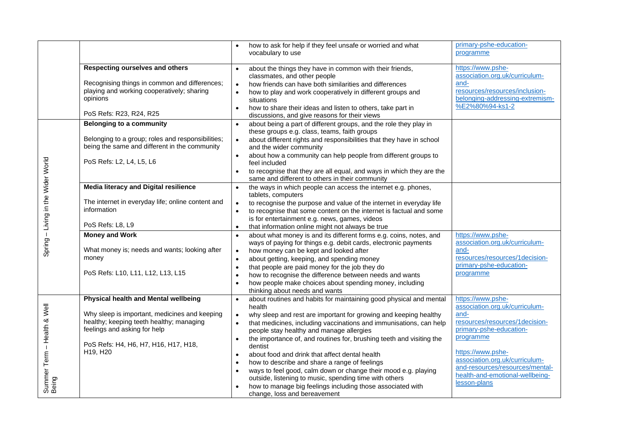|                                    |                                                                                                    | how to ask for help if they feel unsafe or worried and what<br>vocabulary to use                                                                                    | primary-pshe-education-<br>programme                               |
|------------------------------------|----------------------------------------------------------------------------------------------------|---------------------------------------------------------------------------------------------------------------------------------------------------------------------|--------------------------------------------------------------------|
|                                    | Respecting ourselves and others                                                                    | about the things they have in common with their friends,<br>$\bullet$                                                                                               | https://www.pshe-                                                  |
|                                    |                                                                                                    | classmates, and other people                                                                                                                                        | association.org.uk/curriculum-                                     |
|                                    | Recognising things in common and differences;<br>playing and working cooperatively; sharing        | how friends can have both similarities and differences<br>$\bullet$                                                                                                 | and-<br>resources/resources/inclusion-                             |
|                                    | opinions                                                                                           | how to play and work cooperatively in different groups and<br>$\bullet$<br>situations                                                                               | belonging-addressing-extremism-                                    |
|                                    |                                                                                                    | how to share their ideas and listen to others, take part in<br>$\bullet$                                                                                            | %E2%80%94-ks1-2                                                    |
|                                    | PoS Refs: R23, R24, R25                                                                            | discussions, and give reasons for their views                                                                                                                       |                                                                    |
|                                    | <b>Belonging to a community</b>                                                                    | about being a part of different groups, and the role they play in<br>$\bullet$                                                                                      |                                                                    |
|                                    |                                                                                                    | these groups e.g. class, teams, faith groups                                                                                                                        |                                                                    |
|                                    | Belonging to a group; roles and responsibilities;<br>being the same and different in the community | about different rights and responsibilities that they have in school<br>$\bullet$<br>and the wider community                                                        |                                                                    |
|                                    |                                                                                                    | about how a community can help people from different groups to<br>$\bullet$                                                                                         |                                                                    |
|                                    | PoS Refs: L2, L4, L5, L6                                                                           | feel included                                                                                                                                                       |                                                                    |
|                                    |                                                                                                    | to recognise that they are all equal, and ways in which they are the<br>$\bullet$                                                                                   |                                                                    |
|                                    |                                                                                                    | same and different to others in their community                                                                                                                     |                                                                    |
| Spring - Living in the Wider World | <b>Media literacy and Digital resilience</b>                                                       | the ways in which people can access the internet e.g. phones,<br>$\bullet$                                                                                          |                                                                    |
|                                    | The internet in everyday life; online content and                                                  | tablets, computers                                                                                                                                                  |                                                                    |
|                                    | information                                                                                        | to recognise the purpose and value of the internet in everyday life<br>$\bullet$<br>to recognise that some content on the internet is factual and some<br>$\bullet$ |                                                                    |
|                                    |                                                                                                    | is for entertainment e.g. news, games, videos                                                                                                                       |                                                                    |
|                                    | PoS Refs: L8, L9                                                                                   | that information online might not always be true<br>$\bullet$                                                                                                       |                                                                    |
|                                    | <b>Money and Work</b>                                                                              | about what money is and its different forms e.g. coins, notes, and<br>$\bullet$                                                                                     | https://www.pshe-                                                  |
|                                    |                                                                                                    | ways of paying for things e.g. debit cards, electronic payments                                                                                                     | association.org.uk/curriculum-                                     |
|                                    | What money is; needs and wants; looking after                                                      | how money can be kept and looked after<br>$\bullet$                                                                                                                 | and-                                                               |
|                                    | money                                                                                              | about getting, keeping, and spending money<br>$\bullet$                                                                                                             | resources/resources/1decision-<br>primary-pshe-education-          |
|                                    | PoS Refs: L10, L11, L12, L13, L15                                                                  | that people are paid money for the job they do<br>$\bullet$<br>how to recognise the difference between needs and wants                                              | programme                                                          |
|                                    |                                                                                                    | $\bullet$<br>how people make choices about spending money, including<br>$\bullet$                                                                                   |                                                                    |
|                                    |                                                                                                    | thinking about needs and wants                                                                                                                                      |                                                                    |
|                                    | Physical health and Mental wellbeing                                                               | about routines and habits for maintaining good physical and mental<br>$\bullet$                                                                                     | https://www.pshe-                                                  |
|                                    |                                                                                                    | health                                                                                                                                                              | association.org.uk/curriculum-                                     |
|                                    | Why sleep is important, medicines and keeping                                                      | why sleep and rest are important for growing and keeping healthy<br>$\bullet$                                                                                       | and-                                                               |
|                                    | healthy; keeping teeth healthy; managing<br>feelings and asking for help                           | that medicines, including vaccinations and immunisations, can help<br>$\bullet$                                                                                     | resources/resources/1decision-<br>primary-pshe-education-          |
|                                    |                                                                                                    | people stay healthy and manage allergies<br>the importance of, and routines for, brushing teeth and visiting the<br>$\bullet$                                       | programme                                                          |
| - Health & Well                    | PoS Refs: H4, H6, H7, H16, H17, H18,                                                               | dentist                                                                                                                                                             |                                                                    |
|                                    | H19, H20                                                                                           | about food and drink that affect dental health<br>$\bullet$                                                                                                         | https://www.pshe-                                                  |
|                                    |                                                                                                    | how to describe and share a range of feelings<br>$\bullet$                                                                                                          | association.org.uk/curriculum-                                     |
|                                    |                                                                                                    | ways to feel good, calm down or change their mood e.g. playing<br>$\bullet$                                                                                         | and-resources/resources/mental-<br>health-and-emotional-wellbeing- |
|                                    |                                                                                                    | outside, listening to music, spending time with others                                                                                                              | lesson-plans                                                       |
| Summer Term -<br>Being             |                                                                                                    | how to manage big feelings including those associated with<br>change, loss and bereavement                                                                          |                                                                    |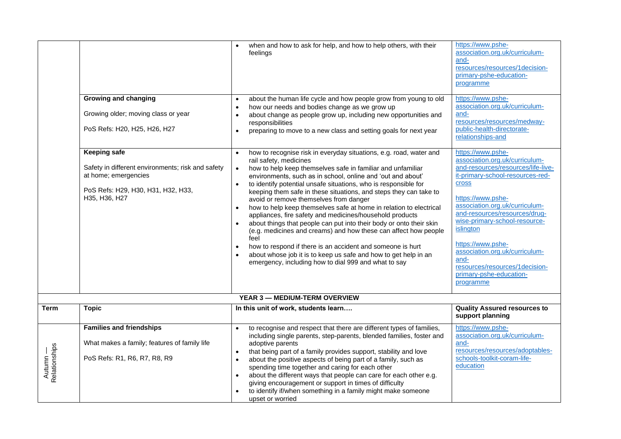|                           |                                                                                                                                                         | when and how to ask for help, and how to help others, with their<br>$\bullet$<br>feelings                                                                                                                                                                                                                                                                                                                                                                                                                                                                                                                                                                                                                                                                                                                                                                                                                                                                                            | https://www.pshe-<br>association.org.uk/curriculum-<br>and-<br>resources/resources/1decision-<br>primary-pshe-education-<br>programme                                                                                                                                                                                                                                                                                 |
|---------------------------|---------------------------------------------------------------------------------------------------------------------------------------------------------|--------------------------------------------------------------------------------------------------------------------------------------------------------------------------------------------------------------------------------------------------------------------------------------------------------------------------------------------------------------------------------------------------------------------------------------------------------------------------------------------------------------------------------------------------------------------------------------------------------------------------------------------------------------------------------------------------------------------------------------------------------------------------------------------------------------------------------------------------------------------------------------------------------------------------------------------------------------------------------------|-----------------------------------------------------------------------------------------------------------------------------------------------------------------------------------------------------------------------------------------------------------------------------------------------------------------------------------------------------------------------------------------------------------------------|
|                           | <b>Growing and changing</b><br>Growing older; moving class or year<br>PoS Refs: H20, H25, H26, H27                                                      | about the human life cycle and how people grow from young to old<br>$\bullet$<br>how our needs and bodies change as we grow up<br>$\bullet$<br>about change as people grow up, including new opportunities and<br>$\bullet$<br>responsibilities<br>preparing to move to a new class and setting goals for next year<br>$\bullet$                                                                                                                                                                                                                                                                                                                                                                                                                                                                                                                                                                                                                                                     | https://www.pshe-<br>association.org.uk/curriculum-<br>and-<br>resources/resources/medway-<br>public-health-directorate-<br>relationships-and                                                                                                                                                                                                                                                                         |
|                           | <b>Keeping safe</b><br>Safety in different environments; risk and safety<br>at home; emergencies<br>PoS Refs: H29, H30, H31, H32, H33,<br>H35, H36, H27 | how to recognise risk in everyday situations, e.g. road, water and<br>$\bullet$<br>rail safety, medicines<br>how to help keep themselves safe in familiar and unfamiliar<br>$\bullet$<br>environments, such as in school, online and 'out and about'<br>to identify potential unsafe situations, who is responsible for<br>$\bullet$<br>keeping them safe in these situations, and steps they can take to<br>avoid or remove themselves from danger<br>how to help keep themselves safe at home in relation to electrical<br>$\bullet$<br>appliances, fire safety and medicines/household products<br>about things that people can put into their body or onto their skin<br>$\bullet$<br>(e.g. medicines and creams) and how these can affect how people<br>feel<br>how to respond if there is an accident and someone is hurt<br>$\bullet$<br>about whose job it is to keep us safe and how to get help in an<br>$\bullet$<br>emergency, including how to dial 999 and what to say | https://www.pshe-<br>association.org.uk/curriculum-<br>and-resources/resources/life-live-<br>it-primary-school-resources-red-<br>cross<br>https://www.pshe-<br>association.org.uk/curriculum-<br>and-resources/resources/drug-<br>wise-primary-school-resource-<br>islington<br>https://www.pshe-<br>association.org.uk/curriculum-<br>and-<br>resources/resources/1decision-<br>primary-pshe-education-<br>programme |
|                           |                                                                                                                                                         | <b>YEAR 3 - MEDIUM-TERM OVERVIEW</b>                                                                                                                                                                                                                                                                                                                                                                                                                                                                                                                                                                                                                                                                                                                                                                                                                                                                                                                                                 |                                                                                                                                                                                                                                                                                                                                                                                                                       |
| <b>Term</b>               | <b>Topic</b>                                                                                                                                            | In this unit of work, students learn                                                                                                                                                                                                                                                                                                                                                                                                                                                                                                                                                                                                                                                                                                                                                                                                                                                                                                                                                 | <b>Quality Assured resources to</b><br>support planning                                                                                                                                                                                                                                                                                                                                                               |
| Autumn —<br>Relationships | <b>Families and friendships</b><br>What makes a family; features of family life<br>PoS Refs: R1, R6, R7, R8, R9                                         | to recognise and respect that there are different types of families,<br>$\bullet$<br>including single parents, step-parents, blended families, foster and<br>adoptive parents<br>that being part of a family provides support, stability and love<br>$\bullet$<br>about the positive aspects of being part of a family, such as<br>$\bullet$<br>spending time together and caring for each other<br>about the different ways that people can care for each other e.g.<br>$\bullet$<br>giving encouragement or support in times of difficulty<br>to identify if/when something in a family might make someone<br>$\bullet$<br>upset or worried                                                                                                                                                                                                                                                                                                                                        | https://www.pshe-<br>association.org.uk/curriculum-<br>and-<br>resources/resources/adoptables-<br>schools-toolkit-coram-life-<br>education                                                                                                                                                                                                                                                                            |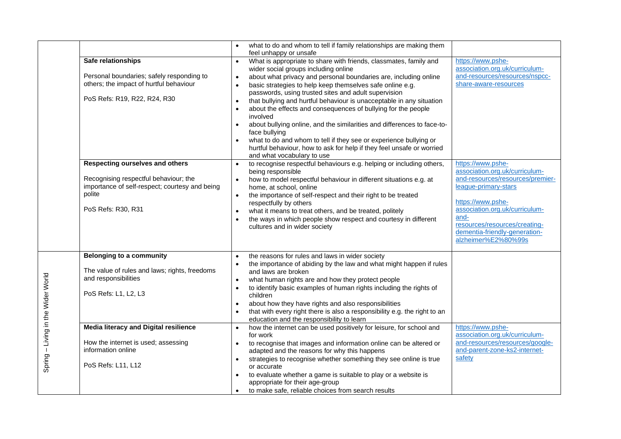|                                    |                                                                                                                                                                                                                                                                     | what to do and whom to tell if family relationships are making them<br>$\bullet$<br>feel unhappy or unsafe                                                                                                                                                                                                                                                                                                                                                                                                                                                                                                                                                                                                                                                                                                                                                                                                                                                                                                                                                                   |                                                                                                                                                                                                                                                                         |
|------------------------------------|---------------------------------------------------------------------------------------------------------------------------------------------------------------------------------------------------------------------------------------------------------------------|------------------------------------------------------------------------------------------------------------------------------------------------------------------------------------------------------------------------------------------------------------------------------------------------------------------------------------------------------------------------------------------------------------------------------------------------------------------------------------------------------------------------------------------------------------------------------------------------------------------------------------------------------------------------------------------------------------------------------------------------------------------------------------------------------------------------------------------------------------------------------------------------------------------------------------------------------------------------------------------------------------------------------------------------------------------------------|-------------------------------------------------------------------------------------------------------------------------------------------------------------------------------------------------------------------------------------------------------------------------|
|                                    | Safe relationships<br>Personal boundaries; safely responding to<br>others; the impact of hurtful behaviour<br>PoS Refs: R19, R22, R24, R30                                                                                                                          | What is appropriate to share with friends, classmates, family and<br>$\bullet$<br>wider social groups including online<br>about what privacy and personal boundaries are, including online<br>$\bullet$<br>basic strategies to help keep themselves safe online e.g.<br>$\bullet$<br>passwords, using trusted sites and adult supervision<br>that bullying and hurtful behaviour is unacceptable in any situation<br>$\bullet$<br>about the effects and consequences of bullying for the people<br>$\bullet$<br>involved<br>about bullying online, and the similarities and differences to face-to-<br>$\bullet$<br>face bullying<br>what to do and whom to tell if they see or experience bullying or<br>$\bullet$<br>hurtful behaviour, how to ask for help if they feel unsafe or worried<br>and what vocabulary to use                                                                                                                                                                                                                                                   | https://www.pshe-<br>association.org.uk/curriculum-<br>and-resources/resources/nspcc-<br>share-aware-resources                                                                                                                                                          |
|                                    | Respecting ourselves and others<br>Recognising respectful behaviour; the<br>importance of self-respect; courtesy and being<br>polite<br>PoS Refs: R30, R31                                                                                                          | to recognise respectful behaviours e.g. helping or including others,<br>$\bullet$<br>being responsible<br>how to model respectful behaviour in different situations e.g. at<br>$\bullet$<br>home, at school, online<br>the importance of self-respect and their right to be treated<br>$\bullet$<br>respectfully by others<br>what it means to treat others, and be treated, politely<br>$\bullet$<br>the ways in which people show respect and courtesy in different<br>$\bullet$<br>cultures and in wider society                                                                                                                                                                                                                                                                                                                                                                                                                                                                                                                                                          | https://www.pshe-<br>association.org.uk/curriculum-<br>and-resources/resources/premier-<br>league-primary-stars<br>https://www.pshe-<br>association.org.uk/curriculum-<br>and-<br>resources/resources/creating-<br>dementia-friendly-generation-<br>alzheimer%E2%80%99s |
| Spring - Living in the Wider World | <b>Belonging to a community</b><br>The value of rules and laws; rights, freedoms<br>and responsibilities<br>PoS Refs: L1, L2, L3<br><b>Media literacy and Digital resilience</b><br>How the internet is used; assessing<br>information online<br>PoS Refs: L11, L12 | the reasons for rules and laws in wider society<br>$\bullet$<br>the importance of abiding by the law and what might happen if rules<br>$\bullet$<br>and laws are broken<br>what human rights are and how they protect people<br>$\bullet$<br>to identify basic examples of human rights including the rights of<br>$\bullet$<br>children<br>about how they have rights and also responsibilities<br>$\bullet$<br>that with every right there is also a responsibility e.g. the right to an<br>$\bullet$<br>education and the responsibility to learn<br>how the internet can be used positively for leisure, for school and<br>$\bullet$<br>for work<br>to recognise that images and information online can be altered or<br>$\bullet$<br>adapted and the reasons for why this happens<br>strategies to recognise whether something they see online is true<br>$\bullet$<br>or accurate<br>to evaluate whether a game is suitable to play or a website is<br>$\bullet$<br>appropriate for their age-group<br>to make safe, reliable choices from search results<br>$\bullet$ | https://www.pshe-<br>association.org.uk/curriculum-<br>and-resources/resources/google-<br>and-parent-zone-ks2-internet-<br>safety                                                                                                                                       |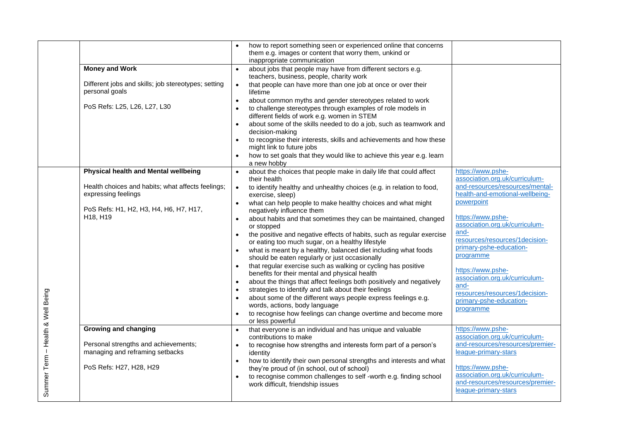|                                   |                                                                          | how to report something seen or experienced online that concerns<br>them e.g. images or content that worry them, unkind or<br>inappropriate communication                                         |                                                                                            |
|-----------------------------------|--------------------------------------------------------------------------|---------------------------------------------------------------------------------------------------------------------------------------------------------------------------------------------------|--------------------------------------------------------------------------------------------|
|                                   | <b>Money and Work</b>                                                    | about jobs that people may have from different sectors e.g.<br>$\bullet$<br>teachers, business, people, charity work                                                                              |                                                                                            |
|                                   | Different jobs and skills; job stereotypes; setting<br>personal goals    | that people can have more than one job at once or over their<br>$\bullet$<br>lifetime                                                                                                             |                                                                                            |
|                                   | PoS Refs: L25, L26, L27, L30                                             | about common myths and gender stereotypes related to work<br>$\bullet$<br>to challenge stereotypes through examples of role models in<br>$\bullet$<br>different fields of work e.g. women in STEM |                                                                                            |
|                                   |                                                                          | about some of the skills needed to do a job, such as teamwork and<br>decision-making                                                                                                              |                                                                                            |
|                                   |                                                                          | to recognise their interests, skills and achievements and how these<br>$\bullet$<br>might link to future jobs                                                                                     |                                                                                            |
|                                   |                                                                          | how to set goals that they would like to achieve this year e.g. learn<br>a new hobby                                                                                                              |                                                                                            |
|                                   | Physical health and Mental wellbeing                                     | about the choices that people make in daily life that could affect<br>$\bullet$<br>their health                                                                                                   | https://www.pshe-<br>association.org.uk/curriculum-                                        |
|                                   | Health choices and habits; what affects feelings;<br>expressing feelings | to identify healthy and unhealthy choices (e.g. in relation to food,<br>$\bullet$<br>exercise, sleep)                                                                                             | and-resources/resources/mental-<br>health-and-emotional-wellbeing-                         |
|                                   | PoS Refs: H1, H2, H3, H4, H6, H7, H17,<br>H18, H19                       | what can help people to make healthy choices and what might<br>$\bullet$<br>negatively influence them<br>about habits and that sometimes they can be maintained, changed<br>$\bullet$             | powerpoint<br>https://www.pshe-                                                            |
|                                   |                                                                          | or stopped                                                                                                                                                                                        | association.org.uk/curriculum-<br>and-                                                     |
|                                   |                                                                          | the positive and negative effects of habits, such as regular exercise<br>or eating too much sugar, on a healthy lifestyle                                                                         | resources/resources/1decision-<br>primary-pshe-education-                                  |
|                                   |                                                                          | what is meant by a healthy, balanced diet including what foods<br>should be eaten regularly or just occasionally                                                                                  | programme                                                                                  |
|                                   |                                                                          | that regular exercise such as walking or cycling has positive<br>benefits for their mental and physical health                                                                                    | https://www.pshe-<br>association.org.uk/curriculum-                                        |
|                                   |                                                                          | about the things that affect feelings both positively and negatively<br>$\bullet$<br>strategies to identify and talk about their feelings                                                         | and-<br>resources/resources/1decision-                                                     |
|                                   |                                                                          | about some of the different ways people express feelings e.g.<br>$\bullet$<br>words, actions, body language                                                                                       | primary-pshe-education-<br>programme                                                       |
|                                   |                                                                          | to recognise how feelings can change overtime and become more<br>or less powerful                                                                                                                 |                                                                                            |
|                                   | <b>Growing and changing</b>                                              | that everyone is an individual and has unique and valuable<br>$\bullet$<br>contributions to make                                                                                                  | https://www.pshe-<br>association.org.uk/curriculum-                                        |
| Summer Term - Health & Well Being | Personal strengths and achievements;<br>managing and reframing setbacks  | to recognise how strengths and interests form part of a person's<br>$\bullet$<br>identity                                                                                                         | and-resources/resources/premier-<br>league-primary-stars                                   |
|                                   | PoS Refs: H27, H28, H29                                                  | how to identify their own personal strengths and interests and what<br>$\bullet$<br>they're proud of (in school, out of school)                                                                   | https://www.pshe-                                                                          |
|                                   |                                                                          | to recognise common challenges to self -worth e.g. finding school<br>work difficult, friendship issues                                                                                            | association.org.uk/curriculum-<br>and-resources/resources/premier-<br>league-primary-stars |
|                                   |                                                                          |                                                                                                                                                                                                   |                                                                                            |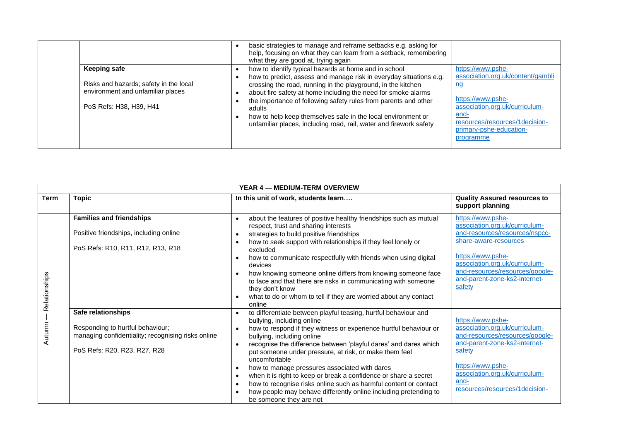|                                                                                                                               | basic strategies to manage and reframe setbacks e.g. asking for<br>help, focusing on what they can learn from a setback, remembering<br>what they are good at, trying again                                                                                                                                                                                                                                                                                                     |                                                                                                                                                                                                                     |
|-------------------------------------------------------------------------------------------------------------------------------|---------------------------------------------------------------------------------------------------------------------------------------------------------------------------------------------------------------------------------------------------------------------------------------------------------------------------------------------------------------------------------------------------------------------------------------------------------------------------------|---------------------------------------------------------------------------------------------------------------------------------------------------------------------------------------------------------------------|
| <b>Keeping safe</b><br>Risks and hazards; safety in the local<br>environment and unfamiliar places<br>PoS Refs: H38, H39, H41 | how to identify typical hazards at home and in school<br>how to predict, assess and manage risk in everyday situations e.g.<br>crossing the road, running in the playground, in the kitchen<br>about fire safety at home including the need for smoke alarms<br>the importance of following safety rules from parents and other<br>adults<br>how to help keep themselves safe in the local environment or<br>unfamiliar places, including road, rail, water and firework safety | https://www.pshe-<br>association.org.uk/content/gambli<br><u>ng</u><br>https://www.pshe-<br>association.org.uk/curriculum-<br><u>and-</u><br>resources/resources/1decision-<br>primary-pshe-education-<br>programme |

|               | YEAR 4 - MEDIUM-TERM OVERVIEW                                                                                                                |                                                                                                                                                                                                                                                                                                                                                                                                                                                                                                                                                                                                                                                                                                                                    |                                                                                                                                                                                                                                                     |  |  |
|---------------|----------------------------------------------------------------------------------------------------------------------------------------------|------------------------------------------------------------------------------------------------------------------------------------------------------------------------------------------------------------------------------------------------------------------------------------------------------------------------------------------------------------------------------------------------------------------------------------------------------------------------------------------------------------------------------------------------------------------------------------------------------------------------------------------------------------------------------------------------------------------------------------|-----------------------------------------------------------------------------------------------------------------------------------------------------------------------------------------------------------------------------------------------------|--|--|
| <b>Term</b>   | <b>Topic</b>                                                                                                                                 | In this unit of work, students learn                                                                                                                                                                                                                                                                                                                                                                                                                                                                                                                                                                                                                                                                                               | <b>Quality Assured resources to</b><br>support planning                                                                                                                                                                                             |  |  |
| Relationships | <b>Families and friendships</b><br>Positive friendships, including online<br>PoS Refs: R10, R11, R12, R13, R18                               | about the features of positive healthy friendships such as mutual<br>$\bullet$<br>respect, trust and sharing interests<br>strategies to build positive friendships<br>$\bullet$<br>how to seek support with relationships if they feel lonely or<br>$\bullet$<br>excluded<br>how to communicate respectfully with friends when using digital<br>$\bullet$<br>devices<br>how knowing someone online differs from knowing someone face<br>$\bullet$<br>to face and that there are risks in communicating with someone<br>they don't know<br>what to do or whom to tell if they are worried about any contact<br>$\bullet$<br>online                                                                                                  | https://www.pshe-<br>association.org.uk/curriculum-<br>and-resources/resources/nspcc-<br>share-aware-resources<br>https://www.pshe-<br>association.org.uk/curriculum-<br>and-resources/resources/google-<br>and-parent-zone-ks2-internet-<br>safety |  |  |
| Autumn        | Safe relationships<br>Responding to hurtful behaviour;<br>managing confidentiality; recognising risks online<br>PoS Refs: R20, R23, R27, R28 | to differentiate between playful teasing, hurtful behaviour and<br>$\bullet$<br>bullying, including online<br>how to respond if they witness or experience hurtful behaviour or<br>$\bullet$<br>bullying, including online<br>recognise the difference between 'playful dares' and dares which<br>$\bullet$<br>put someone under pressure, at risk, or make them feel<br>uncomfortable<br>how to manage pressures associated with dares<br>$\bullet$<br>when it is right to keep or break a confidence or share a secret<br>$\bullet$<br>how to recognise risks online such as harmful content or contact<br>$\bullet$<br>how people may behave differently online including pretending to<br>$\bullet$<br>be someone they are not | https://www.pshe-<br>association.org.uk/curriculum-<br>and-resources/resources/google-<br>and-parent-zone-ks2-internet-<br>safety<br>https://www.pshe-<br>association.org.uk/curriculum-<br>and-<br>resources/resources/1decision-                  |  |  |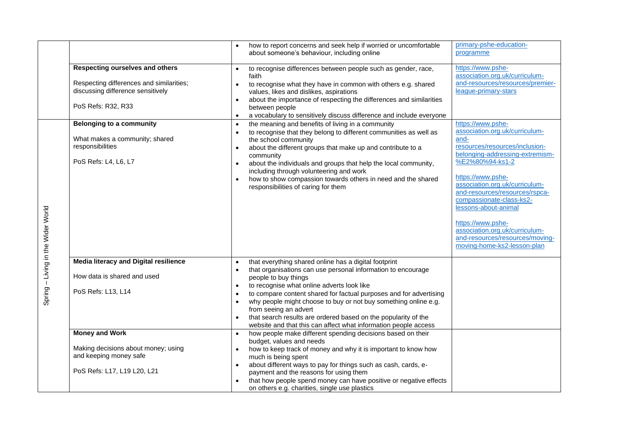|                                    |                                                                                              | how to report concerns and seek help if worried or uncomfortable<br>about someone's behaviour, including online                                                                                                                                                                                                 | primary-pshe-education-<br>programme                                                                                                      |
|------------------------------------|----------------------------------------------------------------------------------------------|-----------------------------------------------------------------------------------------------------------------------------------------------------------------------------------------------------------------------------------------------------------------------------------------------------------------|-------------------------------------------------------------------------------------------------------------------------------------------|
|                                    | Respecting ourselves and others                                                              | to recognise differences between people such as gender, race,<br>faith                                                                                                                                                                                                                                          | https://www.pshe-<br>association.org.uk/curriculum-                                                                                       |
|                                    | Respecting differences and similarities;<br>discussing difference sensitively                | to recognise what they have in common with others e.g. shared<br>$\bullet$<br>values, likes and dislikes, aspirations<br>about the importance of respecting the differences and similarities                                                                                                                    | and-resources/resources/premier-<br>league-primary-stars                                                                                  |
|                                    | PoS Refs: R32, R33                                                                           | between people<br>a vocabulary to sensitively discuss difference and include everyone<br>$\bullet$                                                                                                                                                                                                              |                                                                                                                                           |
|                                    | <b>Belonging to a community</b><br>What makes a community; shared                            | the meaning and benefits of living in a community<br>$\bullet$<br>to recognise that they belong to different communities as well as<br>$\bullet$<br>the school community                                                                                                                                        | https://www.pshe-<br>association.org.uk/curriculum-<br>and-                                                                               |
|                                    | responsibilities<br>PoS Refs: L4, L6, L7                                                     | about the different groups that make up and contribute to a<br>community<br>about the individuals and groups that help the local community,                                                                                                                                                                     | resources/resources/inclusion-<br>belonging-addressing-extremism-<br>%E2%80%94-ks1-2                                                      |
|                                    |                                                                                              | including through volunteering and work<br>how to show compassion towards others in need and the shared<br>responsibilities of caring for them                                                                                                                                                                  | https://www.pshe-<br>association.org.uk/curriculum-<br>and-resources/resources/rspca-<br>compassionate-class-ks2-<br>lessons-about-animal |
| Spring - Living in the Wider World |                                                                                              |                                                                                                                                                                                                                                                                                                                 | https://www.pshe-<br>association.org.uk/curriculum-<br>and-resources/resources/moving-<br>moving-home-ks2-lesson-plan                     |
|                                    | Media literacy and Digital resilience                                                        | that everything shared online has a digital footprint<br>$\bullet$<br>that organisations can use personal information to encourage<br>$\bullet$                                                                                                                                                                 |                                                                                                                                           |
|                                    | How data is shared and used                                                                  | people to buy things<br>to recognise what online adverts look like                                                                                                                                                                                                                                              |                                                                                                                                           |
|                                    | PoS Refs: L13, L14                                                                           | $\bullet$<br>to compare content shared for factual purposes and for advertising<br>$\bullet$<br>why people might choose to buy or not buy something online e.g.<br>$\bullet$<br>from seeing an advert<br>that search results are ordered based on the popularity of the                                         |                                                                                                                                           |
|                                    | <b>Money and Work</b>                                                                        | website and that this can affect what information people access<br>how people make different spending decisions based on their<br>$\bullet$                                                                                                                                                                     |                                                                                                                                           |
|                                    | Making decisions about money; using<br>and keeping money safe<br>PoS Refs: L17, L19 L20, L21 | budget, values and needs<br>how to keep track of money and why it is important to know how<br>much is being spent<br>about different ways to pay for things such as cash, cards, e-<br>$\bullet$<br>payment and the reasons for using them<br>that how people spend money can have positive or negative effects |                                                                                                                                           |
|                                    |                                                                                              | on others e.g. charities, single use plastics                                                                                                                                                                                                                                                                   |                                                                                                                                           |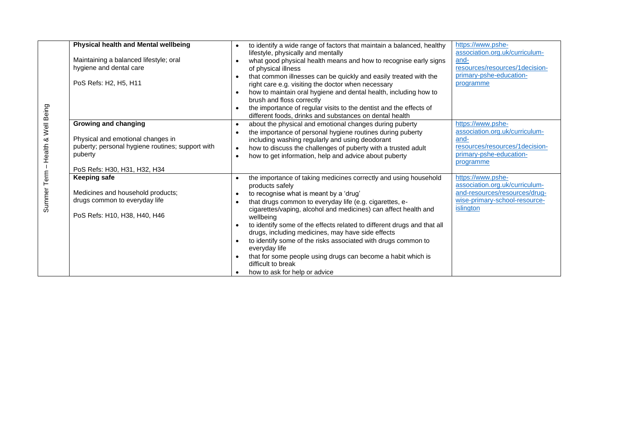|                       | <b>Physical health and Mental wellbeing</b><br>Maintaining a balanced lifestyle; oral<br>hygiene and dental care<br>PoS Refs: H2, H5, H11                | to identify a wide range of factors that maintain a balanced, healthy<br>$\bullet$<br>lifestyle, physically and mentally<br>what good physical health means and how to recognise early signs<br>of physical illness<br>that common illnesses can be quickly and easily treated with the<br>right care e.g. visiting the doctor when necessary<br>how to maintain oral hygiene and dental health, including how to<br>$\bullet$<br>brush and floss correctly<br>the importance of regular visits to the dentist and the effects of<br>different foods, drinks and substances on dental health                                                                          | https://www.pshe-<br>association.org.uk/curriculum-<br>and-<br>resources/resources/1decision-<br>primary-pshe-education-<br>programme |
|-----------------------|----------------------------------------------------------------------------------------------------------------------------------------------------------|-----------------------------------------------------------------------------------------------------------------------------------------------------------------------------------------------------------------------------------------------------------------------------------------------------------------------------------------------------------------------------------------------------------------------------------------------------------------------------------------------------------------------------------------------------------------------------------------------------------------------------------------------------------------------|---------------------------------------------------------------------------------------------------------------------------------------|
| - Health & Well Being | Growing and changing<br>Physical and emotional changes in<br>puberty; personal hygiene routines; support with<br>puberty<br>PoS Refs: H30, H31, H32, H34 | about the physical and emotional changes during puberty<br>$\bullet$<br>the importance of personal hygiene routines during puberty<br>$\bullet$<br>including washing regularly and using deodorant<br>how to discuss the challenges of puberty with a trusted adult<br>$\bullet$<br>how to get information, help and advice about puberty<br>$\bullet$                                                                                                                                                                                                                                                                                                                | https://www.pshe-<br>association.org.uk/curriculum-<br>and-<br>resources/resources/1decision-<br>primary-pshe-education-<br>programme |
| Summer Term           | <b>Keeping safe</b><br>Medicines and household products;<br>drugs common to everyday life<br>PoS Refs: H10, H38, H40, H46                                | the importance of taking medicines correctly and using household<br>$\bullet$<br>products safely<br>to recognise what is meant by a 'drug'<br>$\bullet$<br>that drugs common to everyday life (e.g. cigarettes, e-<br>$\bullet$<br>cigarettes/vaping, alcohol and medicines) can affect health and<br>wellbeing<br>to identify some of the effects related to different drugs and that all<br>$\bullet$<br>drugs, including medicines, may have side effects<br>to identify some of the risks associated with drugs common to<br>everyday life<br>that for some people using drugs can become a habit which is<br>difficult to break<br>how to ask for help or advice | https://www.pshe-<br>association.org.uk/curriculum-<br>and-resources/resources/drug-<br>wise-primary-school-resource-<br>islington    |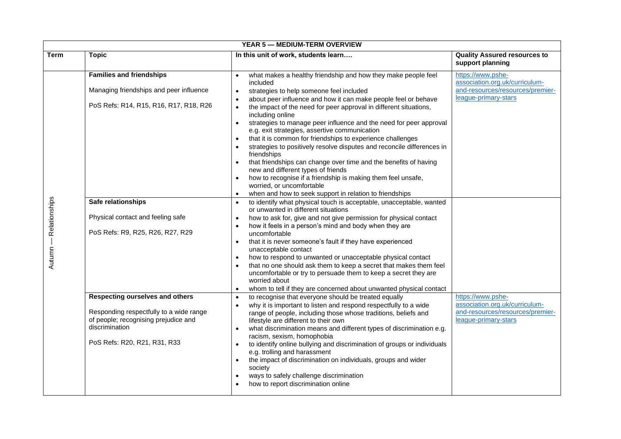| <b>YEAR 5 - MEDIUM-TERM OVERVIEW</b> |                                                                                                                                                                                                                                                                                                                                                                                             |                                                                                                                                                                                                                                                                                                                                                                                                                                                                                                                                                                                                                                                                                                                                                                                                                                                                                                                                                                                                                                                                                                                                                                                                                                                                                                                                                                                                                                                                                                                                                                                                                                                                                                                                                                                                                                                                                                                                                                                                                                                                                                                                                                                      |                                                                                                                                                                                                                                    |  |  |
|--------------------------------------|---------------------------------------------------------------------------------------------------------------------------------------------------------------------------------------------------------------------------------------------------------------------------------------------------------------------------------------------------------------------------------------------|--------------------------------------------------------------------------------------------------------------------------------------------------------------------------------------------------------------------------------------------------------------------------------------------------------------------------------------------------------------------------------------------------------------------------------------------------------------------------------------------------------------------------------------------------------------------------------------------------------------------------------------------------------------------------------------------------------------------------------------------------------------------------------------------------------------------------------------------------------------------------------------------------------------------------------------------------------------------------------------------------------------------------------------------------------------------------------------------------------------------------------------------------------------------------------------------------------------------------------------------------------------------------------------------------------------------------------------------------------------------------------------------------------------------------------------------------------------------------------------------------------------------------------------------------------------------------------------------------------------------------------------------------------------------------------------------------------------------------------------------------------------------------------------------------------------------------------------------------------------------------------------------------------------------------------------------------------------------------------------------------------------------------------------------------------------------------------------------------------------------------------------------------------------------------------------|------------------------------------------------------------------------------------------------------------------------------------------------------------------------------------------------------------------------------------|--|--|
| <b>Term</b>                          | <b>Topic</b>                                                                                                                                                                                                                                                                                                                                                                                | In this unit of work, students learn                                                                                                                                                                                                                                                                                                                                                                                                                                                                                                                                                                                                                                                                                                                                                                                                                                                                                                                                                                                                                                                                                                                                                                                                                                                                                                                                                                                                                                                                                                                                                                                                                                                                                                                                                                                                                                                                                                                                                                                                                                                                                                                                                 | <b>Quality Assured resources to</b><br>support planning                                                                                                                                                                            |  |  |
| Relationships<br>Autumn —            | <b>Families and friendships</b><br>Managing friendships and peer influence<br>PoS Refs: R14, R15, R16, R17, R18, R26<br>Safe relationships<br>Physical contact and feeling safe<br>PoS Refs: R9, R25, R26, R27, R29<br>Respecting ourselves and others<br>Responding respectfully to a wide range<br>of people; recognising prejudice and<br>discrimination<br>PoS Refs: R20, R21, R31, R33 | what makes a healthy friendship and how they make people feel<br>$\bullet$<br>included<br>strategies to help someone feel included<br>about peer influence and how it can make people feel or behave<br>$\bullet$<br>the impact of the need for peer approval in different situations,<br>including online<br>strategies to manage peer influence and the need for peer approval<br>$\bullet$<br>e.g. exit strategies, assertive communication<br>that it is common for friendships to experience challenges<br>strategies to positively resolve disputes and reconcile differences in<br>friendships<br>that friendships can change over time and the benefits of having<br>new and different types of friends<br>how to recognise if a friendship is making them feel unsafe,<br>worried, or uncomfortable<br>when and how to seek support in relation to friendships<br>to identify what physical touch is acceptable, unacceptable, wanted<br>or unwanted in different situations<br>how to ask for, give and not give permission for physical contact<br>how it feels in a person's mind and body when they are<br>uncomfortable<br>that it is never someone's fault if they have experienced<br>$\bullet$<br>unacceptable contact<br>how to respond to unwanted or unacceptable physical contact<br>$\bullet$<br>that no one should ask them to keep a secret that makes them feel<br>uncomfortable or try to persuade them to keep a secret they are<br>worried about<br>whom to tell if they are concerned about unwanted physical contact<br>to recognise that everyone should be treated equally<br>why it is important to listen and respond respectfully to a wide<br>range of people, including those whose traditions, beliefs and<br>lifestyle are different to their own<br>what discrimination means and different types of discrimination e.g.<br>racism, sexism, homophobia<br>to identify online bullying and discrimination of groups or individuals<br>e.g. trolling and harassment<br>the impact of discrimination on individuals, groups and wider<br>$\bullet$<br>society<br>ways to safely challenge discrimination<br>how to report discrimination online | https://www.pshe-<br>association.org.uk/curriculum-<br>and-resources/resources/premier-<br>league-primary-stars<br>https://www.pshe-<br>association.org.uk/curriculum-<br>and-resources/resources/premier-<br>league-primary-stars |  |  |
|                                      |                                                                                                                                                                                                                                                                                                                                                                                             |                                                                                                                                                                                                                                                                                                                                                                                                                                                                                                                                                                                                                                                                                                                                                                                                                                                                                                                                                                                                                                                                                                                                                                                                                                                                                                                                                                                                                                                                                                                                                                                                                                                                                                                                                                                                                                                                                                                                                                                                                                                                                                                                                                                      |                                                                                                                                                                                                                                    |  |  |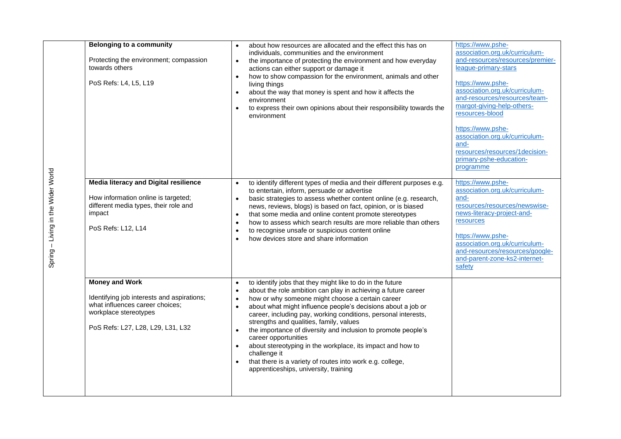|                                    | <b>Belonging to a community</b><br>Protecting the environment; compassion<br>towards others<br>PoS Refs: L4, L5, L19                                                 | $\bullet$<br>$\bullet$<br>$\bullet$<br>$\bullet$<br>$\bullet$              | about how resources are allocated and the effect this has on<br>individuals, communities and the environment<br>the importance of protecting the environment and how everyday<br>actions can either support or damage it<br>how to show compassion for the environment, animals and other<br>living things<br>about the way that money is spent and how it affects the<br>environment<br>to express their own opinions about their responsibility towards the<br>environment                                                                                                                                                             | https://www.pshe-<br>association.org.uk/curriculum-<br>and-resources/resources/premier-<br>league-primary-stars<br>https://www.pshe-<br>association.org.uk/curriculum-<br>and-resources/resources/team-<br>margot-giving-help-others-<br>resources-blood<br>https://www.pshe-<br>association.org.uk/curriculum-<br>and-<br>resources/resources/1decision-<br>primary-pshe-education-<br>programme |
|------------------------------------|----------------------------------------------------------------------------------------------------------------------------------------------------------------------|----------------------------------------------------------------------------|------------------------------------------------------------------------------------------------------------------------------------------------------------------------------------------------------------------------------------------------------------------------------------------------------------------------------------------------------------------------------------------------------------------------------------------------------------------------------------------------------------------------------------------------------------------------------------------------------------------------------------------|---------------------------------------------------------------------------------------------------------------------------------------------------------------------------------------------------------------------------------------------------------------------------------------------------------------------------------------------------------------------------------------------------|
| Spring - Living in the Wider World | <b>Media literacy and Digital resilience</b><br>How information online is targeted;<br>different media types, their role and<br>impact<br>PoS Refs: L12, L14         | $\bullet$<br>$\bullet$<br>$\bullet$<br>$\bullet$<br>$\bullet$<br>$\bullet$ | to identify different types of media and their different purposes e.g.<br>to entertain, inform, persuade or advertise<br>basic strategies to assess whether content online (e.g. research,<br>news, reviews, blogs) is based on fact, opinion, or is biased<br>that some media and online content promote stereotypes<br>how to assess which search results are more reliable than others<br>to recognise unsafe or suspicious content online<br>how devices store and share information                                                                                                                                                 | https://www.pshe-<br>association.org.uk/curriculum-<br>and-<br>resources/resources/newswise-<br>news-literacy-project-and-<br>resources<br>https://www.pshe-<br>association.org.uk/curriculum-<br>and-resources/resources/google-<br>and-parent-zone-ks2-internet-<br>safety                                                                                                                      |
|                                    | <b>Money and Work</b><br>Identifying job interests and aspirations;<br>what influences career choices;<br>workplace stereotypes<br>PoS Refs: L27, L28, L29, L31, L32 | $\bullet$<br>$\bullet$<br>$\bullet$<br>$\bullet$<br>$\bullet$<br>$\bullet$ | to identify jobs that they might like to do in the future<br>about the role ambition can play in achieving a future career<br>how or why someone might choose a certain career<br>about what might influence people's decisions about a job or<br>career, including pay, working conditions, personal interests,<br>strengths and qualities, family, values<br>the importance of diversity and inclusion to promote people's<br>career opportunities<br>about stereotyping in the workplace, its impact and how to<br>challenge it<br>that there is a variety of routes into work e.g. college,<br>apprenticeships, university, training |                                                                                                                                                                                                                                                                                                                                                                                                   |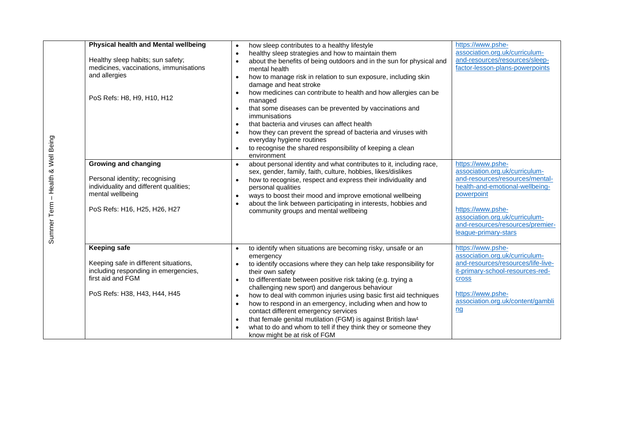| Physical health and Mental wellbeing<br>Healthy sleep habits; sun safety;<br>medicines, vaccinations, immunisations<br>and allergies<br>PoS Refs: H8, H9, H10, H12 | how sleep contributes to a healthy lifestyle<br>$\bullet$<br>healthy sleep strategies and how to maintain them<br>$\bullet$<br>about the benefits of being outdoors and in the sun for physical and<br>mental health<br>how to manage risk in relation to sun exposure, including skin<br>$\bullet$<br>damage and heat stroke<br>how medicines can contribute to health and how allergies can be<br>managed<br>that some diseases can be prevented by vaccinations and<br>$\bullet$<br>immunisations<br>that bacteria and viruses can affect health<br>$\bullet$<br>how they can prevent the spread of bacteria and viruses with<br>$\bullet$<br>everyday hygiene routines<br>to recognise the shared responsibility of keeping a clean<br>environment | https://www.pshe-<br>association.org.uk/curriculum-<br>and-resources/resources/sleep-<br>factor-lesson-plans-powerpoints                                                                                                                                   |
|--------------------------------------------------------------------------------------------------------------------------------------------------------------------|--------------------------------------------------------------------------------------------------------------------------------------------------------------------------------------------------------------------------------------------------------------------------------------------------------------------------------------------------------------------------------------------------------------------------------------------------------------------------------------------------------------------------------------------------------------------------------------------------------------------------------------------------------------------------------------------------------------------------------------------------------|------------------------------------------------------------------------------------------------------------------------------------------------------------------------------------------------------------------------------------------------------------|
| <b>Growing and changing</b><br>Personal identity; recognising<br>individuality and different qualities;<br>mental wellbeing<br>PoS Refs: H16, H25, H26, H27        | about personal identity and what contributes to it, including race,<br>$\bullet$<br>sex, gender, family, faith, culture, hobbies, likes/dislikes<br>how to recognise, respect and express their individuality and<br>$\bullet$<br>personal qualities<br>ways to boost their mood and improve emotional wellbeing<br>$\bullet$<br>about the link between participating in interests, hobbies and<br>community groups and mental wellbeing                                                                                                                                                                                                                                                                                                               | https://www.pshe-<br>association.org.uk/curriculum-<br>and-resources/resources/mental-<br>health-and-emotional-wellbeing-<br>powerpoint<br>https://www.pshe-<br>association.org.uk/curriculum-<br>and-resources/resources/premier-<br>league-primary-stars |
| <b>Keeping safe</b><br>Keeping safe in different situations,<br>including responding in emergencies,<br>first aid and FGM<br>PoS Refs: H38, H43, H44, H45          | to identify when situations are becoming risky, unsafe or an<br>$\bullet$<br>emergency<br>to identify occasions where they can help take responsibility for<br>their own safety<br>to differentiate between positive risk taking (e.g. trying a<br>$\bullet$<br>challenging new sport) and dangerous behaviour<br>how to deal with common injuries using basic first aid techniques<br>$\bullet$<br>how to respond in an emergency, including when and how to<br>$\bullet$<br>contact different emergency services<br>that female genital mutilation (FGM) is against British law <sup>1</sup><br>$\bullet$<br>what to do and whom to tell if they think they or someone they<br>know might be at risk of FGM                                          | https://www.pshe-<br>association.org.uk/curriculum-<br>and-resources/resources/life-live-<br>it-primary-school-resources-red-<br><b>Cross</b><br>https://www.pshe-<br>association.org.uk/content/gambli<br>nq                                              |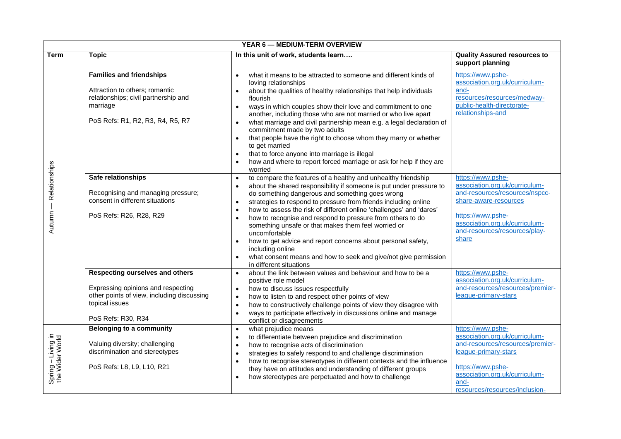|                                       | <b>YEAR 6 - MEDIUM-TERM OVERVIEW</b>                                                                                                                        |                                                                                                                                                                                                                                                                                                                                                                                                                                                                                                                                                                                                                                                                                                                            |                                                                                                                                                                                                                  |  |  |
|---------------------------------------|-------------------------------------------------------------------------------------------------------------------------------------------------------------|----------------------------------------------------------------------------------------------------------------------------------------------------------------------------------------------------------------------------------------------------------------------------------------------------------------------------------------------------------------------------------------------------------------------------------------------------------------------------------------------------------------------------------------------------------------------------------------------------------------------------------------------------------------------------------------------------------------------------|------------------------------------------------------------------------------------------------------------------------------------------------------------------------------------------------------------------|--|--|
| <b>Term</b>                           | <b>Topic</b>                                                                                                                                                | In this unit of work, students learn                                                                                                                                                                                                                                                                                                                                                                                                                                                                                                                                                                                                                                                                                       | <b>Quality Assured resources to</b><br>support planning                                                                                                                                                          |  |  |
|                                       | <b>Families and friendships</b><br>Attraction to others; romantic<br>relationships; civil partnership and<br>marriage<br>PoS Refs: R1, R2, R3, R4, R5, R7   | what it means to be attracted to someone and different kinds of<br>$\bullet$<br>loving relationships<br>about the qualities of healthy relationships that help individuals<br>flourish<br>ways in which couples show their love and commitment to one<br>$\bullet$<br>another, including those who are not married or who live apart<br>what marriage and civil partnership mean e.g. a legal declaration of<br>$\bullet$<br>commitment made by two adults<br>that people have the right to choose whom they marry or whether<br>$\bullet$<br>to get married<br>that to force anyone into marriage is illegal<br>$\bullet$<br>how and where to report forced marriage or ask for help if they are<br>worried               | https://www.pshe-<br>association.org.uk/curriculum-<br>and-<br>resources/resources/medway-<br>public-health-directorate-<br>relationships-and                                                                    |  |  |
| Relationships<br>Autumn               | Safe relationships<br>Recognising and managing pressure;<br>consent in different situations<br>PoS Refs: R26, R28, R29                                      | to compare the features of a healthy and unhealthy friendship<br>$\bullet$<br>about the shared responsibility if someone is put under pressure to<br>$\bullet$<br>do something dangerous and something goes wrong<br>strategies to respond to pressure from friends including online<br>$\bullet$<br>how to assess the risk of different online 'challenges' and 'dares'<br>$\bullet$<br>how to recognise and respond to pressure from others to do<br>something unsafe or that makes them feel worried or<br>uncomfortable<br>how to get advice and report concerns about personal safety,<br>$\bullet$<br>including online<br>what consent means and how to seek and give/not give permission<br>in different situations | https://www.pshe-<br>association.org.uk/curriculum-<br>and-resources/resources/nspcc-<br>share-aware-resources<br>https://www.pshe-<br>association.org.uk/curriculum-<br>and-resources/resources/play-<br>share  |  |  |
|                                       | Respecting ourselves and others<br>Expressing opinions and respecting<br>other points of view, including discussing<br>topical issues<br>PoS Refs: R30, R34 | about the link between values and behaviour and how to be a<br>$\bullet$<br>positive role model<br>how to discuss issues respectfully<br>$\bullet$<br>how to listen to and respect other points of view<br>$\bullet$<br>how to constructively challenge points of view they disagree with<br>$\bullet$<br>ways to participate effectively in discussions online and manage<br>conflict or disagreements                                                                                                                                                                                                                                                                                                                    | https://www.pshe-<br>association.org.uk/curriculum-<br>and-resources/resources/premier-<br>league-primary-stars                                                                                                  |  |  |
| Spring - Living in<br>the Wider World | <b>Belonging to a community</b><br>Valuing diversity; challenging<br>discrimination and stereotypes<br>PoS Refs: L8, L9, L10, R21                           | what prejudice means<br>$\bullet$<br>to differentiate between prejudice and discrimination<br>$\bullet$<br>how to recognise acts of discrimination<br>$\bullet$<br>strategies to safely respond to and challenge discrimination<br>$\bullet$<br>how to recognise stereotypes in different contexts and the influence<br>they have on attitudes and understanding of different groups<br>how stereotypes are perpetuated and how to challenge                                                                                                                                                                                                                                                                               | https://www.pshe-<br>association.org.uk/curriculum-<br>and-resources/resources/premier-<br>league-primary-stars<br>https://www.pshe-<br>association.org.uk/curriculum-<br>and-<br>resources/resources/inclusion- |  |  |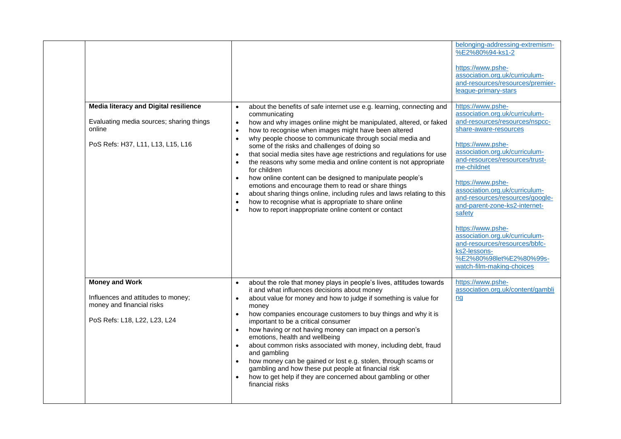| <b>Media literacy and Digital resilience</b><br>Evaluating media sources; sharing things<br>online<br>PoS Refs: H37, L11, L13, L15, L16 | about the benefits of safe internet use e.g. learning, connecting and<br>$\bullet$<br>communicating<br>how and why images online might be manipulated, altered, or faked<br>$\bullet$<br>how to recognise when images might have been altered<br>$\bullet$<br>why people choose to communicate through social media and<br>$\bullet$<br>some of the risks and challenges of doing so<br>that social media sites have age restrictions and regulations for use<br>the reasons why some media and online content is not appropriate<br>$\bullet$<br>for children<br>how online content can be designed to manipulate people's<br>$\bullet$<br>emotions and encourage them to read or share things<br>about sharing things online, including rules and laws relating to this<br>$\bullet$<br>how to recognise what is appropriate to share online<br>$\bullet$<br>how to report inappropriate online content or contact<br>$\bullet$ | belonging-addressing-extremism-<br>%E2%80%94-ks1-2<br>https://www.pshe-<br>association.org.uk/curriculum-<br>and-resources/resources/premier-<br>league-primary-stars<br>https://www.pshe-<br>association.org.uk/curriculum-<br>and-resources/resources/nspcc-<br>share-aware-resources<br>https://www.pshe-<br>association.org.uk/curriculum-<br>and-resources/resources/trust-<br>me-childnet<br>https://www.pshe-<br>association.org.uk/curriculum-<br>and-resources/resources/google-<br>and-parent-zone-ks2-internet-<br>safety<br>https://www.pshe-<br>association.org.uk/curriculum-<br>and-resources/resources/bbfc-<br>ks2-lessons- |
|-----------------------------------------------------------------------------------------------------------------------------------------|-----------------------------------------------------------------------------------------------------------------------------------------------------------------------------------------------------------------------------------------------------------------------------------------------------------------------------------------------------------------------------------------------------------------------------------------------------------------------------------------------------------------------------------------------------------------------------------------------------------------------------------------------------------------------------------------------------------------------------------------------------------------------------------------------------------------------------------------------------------------------------------------------------------------------------------|----------------------------------------------------------------------------------------------------------------------------------------------------------------------------------------------------------------------------------------------------------------------------------------------------------------------------------------------------------------------------------------------------------------------------------------------------------------------------------------------------------------------------------------------------------------------------------------------------------------------------------------------|
|                                                                                                                                         |                                                                                                                                                                                                                                                                                                                                                                                                                                                                                                                                                                                                                                                                                                                                                                                                                                                                                                                                   | %E2%80%98let%E2%80%99s-<br>watch-film-making-choices                                                                                                                                                                                                                                                                                                                                                                                                                                                                                                                                                                                         |
|                                                                                                                                         |                                                                                                                                                                                                                                                                                                                                                                                                                                                                                                                                                                                                                                                                                                                                                                                                                                                                                                                                   |                                                                                                                                                                                                                                                                                                                                                                                                                                                                                                                                                                                                                                              |
| <b>Money and Work</b><br>Influences and attitudes to money;<br>money and financial risks<br>PoS Refs: L18, L22, L23, L24                | about the role that money plays in people's lives, attitudes towards<br>$\bullet$<br>it and what influences decisions about money<br>about value for money and how to judge if something is value for<br>$\bullet$<br>money<br>how companies encourage customers to buy things and why it is<br>$\bullet$<br>important to be a critical consumer<br>how having or not having money can impact on a person's<br>$\bullet$<br>emotions, health and wellbeing<br>about common risks associated with money, including debt, fraud<br>$\bullet$<br>and gambling<br>how money can be gained or lost e.g. stolen, through scams or<br>$\bullet$<br>gambling and how these put people at financial risk<br>how to get help if they are concerned about gambling or other<br>financial risks                                                                                                                                               | https://www.pshe-<br>association.org.uk/content/gambli<br>nq                                                                                                                                                                                                                                                                                                                                                                                                                                                                                                                                                                                 |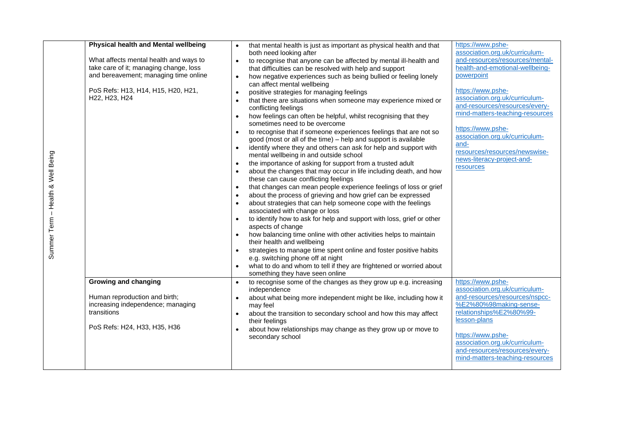| Physical health and Mental wellbeing   |           | that mental health is just as important as physical health and that<br>both need looking after            | https://www.pshe-<br>association.org.uk/curriculum- |
|----------------------------------------|-----------|-----------------------------------------------------------------------------------------------------------|-----------------------------------------------------|
| What affects mental health and ways to | $\bullet$ | to recognise that anyone can be affected by mental ill-health and                                         | and-resources/resources/mental-                     |
| take care of it; managing change, loss |           | that difficulties can be resolved with help and support                                                   | health-and-emotional-wellbeing-                     |
| and bereavement; managing time online  |           | how negative experiences such as being bullied or feeling lonely<br>can affect mental wellbeing           | powerpoint                                          |
| PoS Refs: H13, H14, H15, H20, H21,     |           | positive strategies for managing feelings                                                                 | https://www.pshe-                                   |
| H22, H23, H24                          |           | that there are situations when someone may experience mixed or                                            | association.org.uk/curriculum-                      |
|                                        |           | conflicting feelings                                                                                      | and-resources/resources/every-                      |
|                                        |           | how feelings can often be helpful, whilst recognising that they                                           | mind-matters-teaching-resources                     |
|                                        |           | sometimes need to be overcome                                                                             |                                                     |
|                                        |           | to recognise that if someone experiences feelings that are not so                                         | https://www.pshe-<br>association.org.uk/curriculum- |
|                                        |           | good (most or all of the time) – help and support is available                                            | and-                                                |
|                                        |           | identify where they and others can ask for help and support with                                          | resources/resources/newswise-                       |
|                                        |           | mental wellbeing in and outside school                                                                    | news-literacy-project-and-                          |
|                                        |           | the importance of asking for support from a trusted adult                                                 | resources                                           |
|                                        |           | about the changes that may occur in life including death, and how<br>these can cause conflicting feelings |                                                     |
|                                        |           | that changes can mean people experience feelings of loss or grief                                         |                                                     |
|                                        |           | about the process of grieving and how grief can be expressed                                              |                                                     |
|                                        |           | about strategies that can help someone cope with the feelings                                             |                                                     |
|                                        |           | associated with change or loss                                                                            |                                                     |
|                                        |           | to identify how to ask for help and support with loss, grief or other<br>aspects of change                |                                                     |
|                                        |           | how balancing time online with other activities helps to maintain                                         |                                                     |
|                                        |           | their health and wellbeing                                                                                |                                                     |
|                                        |           | strategies to manage time spent online and foster positive habits<br>e.g. switching phone off at night    |                                                     |
|                                        |           | what to do and whom to tell if they are frightened or worried about                                       |                                                     |
|                                        |           | something they have seen online                                                                           |                                                     |
| <b>Growing and changing</b>            |           | to recognise some of the changes as they grow up e.g. increasing                                          | https://www.pshe-<br>association.org.uk/curriculum- |
| Human reproduction and birth;          |           | independence                                                                                              | and-resources/resources/nspcc-                      |
| increasing independence; managing      |           | about what being more independent might be like, including how it<br>may feel                             | %E2%80%98making-sense-                              |
| transitions                            |           | about the transition to secondary school and how this may affect                                          | relationships%E2%80%99-                             |
|                                        |           | their feelings                                                                                            | lesson-plans                                        |
| PoS Refs: H24, H33, H35, H36           |           | about how relationships may change as they grow up or move to                                             |                                                     |
|                                        |           | secondary school                                                                                          | https://www.pshe-                                   |
|                                        |           |                                                                                                           | association.org.uk/curriculum-                      |
|                                        |           |                                                                                                           | and-resources/resources/every-                      |
|                                        |           |                                                                                                           | mind-matters-teaching-resources                     |
|                                        |           |                                                                                                           |                                                     |